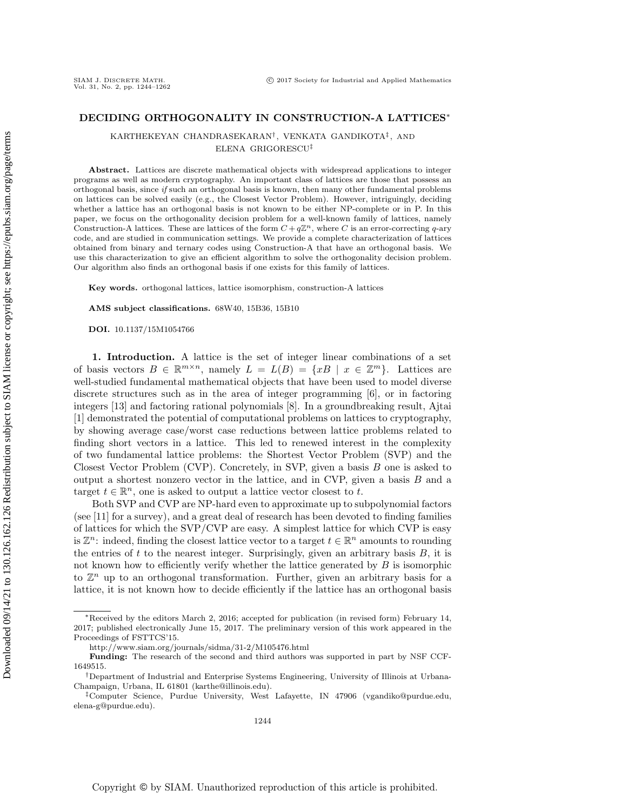KARTHEKEYAN CHANDRASEKARAN† , VENKATA GANDIKOTA‡ , AND ELENA GRIGORESCU‡

Abstract. Lattices are discrete mathematical objects with widespread applications to integer programs as well as modern cryptography. An important class of lattices are those that possess an orthogonal basis, since if such an orthogonal basis is known, then many other fundamental problems on lattices can be solved easily (e.g., the Closest Vector Problem). However, intriguingly, deciding whether a lattice has an orthogonal basis is not known to be either NP-complete or in P. In this paper, we focus on the orthogonality decision problem for a well-known family of lattices, namely Construction-A lattices. These are lattices of the form  $C + q\mathbb{Z}^n$ , where C is an error-correcting q-ary code, and are studied in communication settings. We provide a complete characterization of lattices obtained from binary and ternary codes using Construction-A that have an orthogonal basis. We use this characterization to give an efficient algorithm to solve the orthogonality decision problem. Our algorithm also finds an orthogonal basis if one exists for this family of lattices.

Key words. orthogonal lattices, lattice isomorphism, construction-A lattices

AMS subject classifications. 68W40, 15B36, 15B10

DOI. 10.1137/15M1054766

SIAM J. DISCRETE MATH.<br>Vol. 31, No. 2, pp. 1244-1262

1. Introduction. A lattice is the set of integer linear combinations of a set of basis vectors  $B \in \mathbb{R}^{m \times n}$ , namely  $L = L(B) = \{xB \mid x \in \mathbb{Z}^m\}$ . Lattices are well-studied fundamental mathematical objects that have been used to model diverse discrete structures such as in the area of integer programming [\[6\]](#page-17-0), or in factoring integers [\[13\]](#page-18-0) and factoring rational polynomials [\[8\]](#page-17-1). In a groundbreaking result, Ajtai [\[1\]](#page-17-2) demonstrated the potential of computational problems on lattices to cryptography, by showing average case/worst case reductions between lattice problems related to finding short vectors in a lattice. This led to renewed interest in the complexity of two fundamental lattice problems: the Shortest Vector Problem (SVP) and the Closest Vector Problem (CVP). Concretely, in SVP, given a basis B one is asked to output a shortest nonzero vector in the lattice, and in CVP, given a basis  $B$  and a target  $t \in \mathbb{R}^n$ , one is asked to output a lattice vector closest to t.

Both SVP and CVP are NP-hard even to approximate up to subpolynomial factors (see [\[11\]](#page-17-3) for a survey), and a great deal of research has been devoted to finding families of lattices for which the SVP/CVP are easy. A simplest lattice for which CVP is easy is  $\mathbb{Z}^n$ : indeed, finding the closest lattice vector to a target  $t \in \mathbb{R}^n$  amounts to rounding the entries of  $t$  to the nearest integer. Surprisingly, given an arbitrary basis  $B$ , it is not known how to efficiently verify whether the lattice generated by  $B$  is isomorphic to  $\mathbb{Z}^n$  up to an orthogonal transformation. Further, given an arbitrary basis for a lattice, it is not known how to decide efficiently if the lattice has an orthogonal basis

<sup>∗</sup>Received by the editors March 2, 2016; accepted for publication (in revised form) February 14, 2017; published electronically June 15, 2017. The preliminary version of this work appeared in the Proceedings of FSTTCS'15.

<http://www.siam.org/journals/sidma/31-2/M105476.html>

Funding: The research of the second and third authors was supported in part by NSF CCF-1649515.

<sup>†</sup>Department of Industrial and Enterprise Systems Engineering, University of Illinois at Urbana-Champaign, Urbana, IL 61801 [\(karthe@illinois.edu\)](mailto:karthe@illinois.edu).

<sup>‡</sup>Computer Science, Purdue University, West Lafayette, IN 47906 [\(vgandiko@purdue.edu,](mailto:vgandiko@purdue.edu) [elena-g@purdue.edu\)](mailto:elena-g@purdue.edu).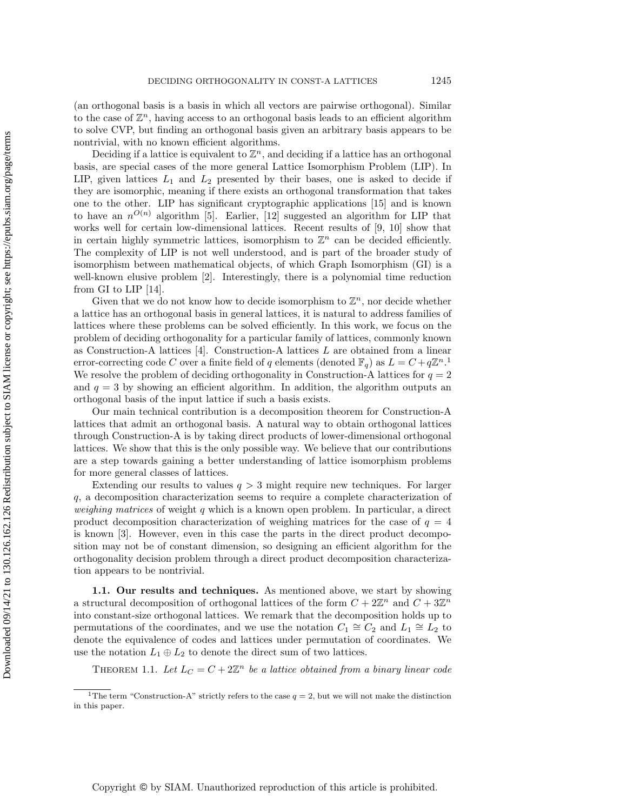(an orthogonal basis is a basis in which all vectors are pairwise orthogonal). Similar to the case of  $\mathbb{Z}^n$ , having access to an orthogonal basis leads to an efficient algorithm to solve CVP, but finding an orthogonal basis given an arbitrary basis appears to be nontrivial, with no known efficient algorithms.

Deciding if a lattice is equivalent to  $\mathbb{Z}^n$ , and deciding if a lattice has an orthogonal basis, are special cases of the more general Lattice Isomorphism Problem (LIP). In LIP, given lattices  $L_1$  and  $L_2$  presented by their bases, one is asked to decide if they are isomorphic, meaning if there exists an orthogonal transformation that takes one to the other. LIP has significant cryptographic applications [\[15\]](#page-18-1) and is known to have an  $n^{O(n)}$  algorithm [\[5\]](#page-17-4). Earlier, [\[12\]](#page-17-5) suggested an algorithm for LIP that works well for certain low-dimensional lattices. Recent results of [\[9,](#page-17-6) [10\]](#page-17-7) show that in certain highly symmetric lattices, isomorphism to  $\mathbb{Z}^n$  can be decided efficiently. The complexity of LIP is not well understood, and is part of the broader study of isomorphism between mathematical objects, of which Graph Isomorphism (GI) is a well-known elusive problem [\[2\]](#page-17-8). Interestingly, there is a polynomial time reduction from GI to LIP [\[14\]](#page-18-2).

Given that we do not know how to decide isomorphism to  $\mathbb{Z}^n$ , nor decide whether a lattice has an orthogonal basis in general lattices, it is natural to address families of lattices where these problems can be solved efficiently. In this work, we focus on the problem of deciding orthogonality for a particular family of lattices, commonly known as Construction-A lattices [\[4\]](#page-17-9). Construction-A lattices L are obtained from a linear error-correcting code C over a finite field of q elements (denoted  $\mathbb{F}_q$ ) as  $L = C + q\mathbb{Z}^n$ . We resolve the problem of deciding orthogonality in Construction-A lattices for  $q = 2$ and  $q = 3$  by showing an efficient algorithm. In addition, the algorithm outputs an orthogonal basis of the input lattice if such a basis exists.

Our main technical contribution is a decomposition theorem for Construction-A lattices that admit an orthogonal basis. A natural way to obtain orthogonal lattices through Construction-A is by taking direct products of lower-dimensional orthogonal lattices. We show that this is the only possible way. We believe that our contributions are a step towards gaining a better understanding of lattice isomorphism problems for more general classes of lattices.

Extending our results to values  $q > 3$  might require new techniques. For larger q, a decomposition characterization seems to require a complete characterization of *weighing matrices* of weight q which is a known open problem. In particular, a direct product decomposition characterization of weighing matrices for the case of  $q = 4$ is known [\[3\]](#page-17-10). However, even in this case the parts in the direct product decomposition may not be of constant dimension, so designing an efficient algorithm for the orthogonality decision problem through a direct product decomposition characterization appears to be nontrivial.

1.1. Our results and techniques. As mentioned above, we start by showing a structural decomposition of orthogonal lattices of the form  $C + 2\mathbb{Z}^n$  and  $C + 3\mathbb{Z}^n$ into constant-size orthogonal lattices. We remark that the decomposition holds up to permutations of the coordinates, and we use the notation  $C_1 \cong C_2$  and  $L_1 \cong L_2$  to denote the equivalence of codes and lattices under permutation of coordinates. We use the notation  $L_1 \oplus L_2$  to denote the direct sum of two lattices.

<span id="page-1-1"></span>THEOREM 1.1. Let  $L_C = C + 2\mathbb{Z}^n$  be a lattice obtained from a binary linear code

<span id="page-1-0"></span><sup>&</sup>lt;sup>1</sup>The term "Construction-A" strictly refers to the case  $q = 2$ , but we will not make the distinction in this paper.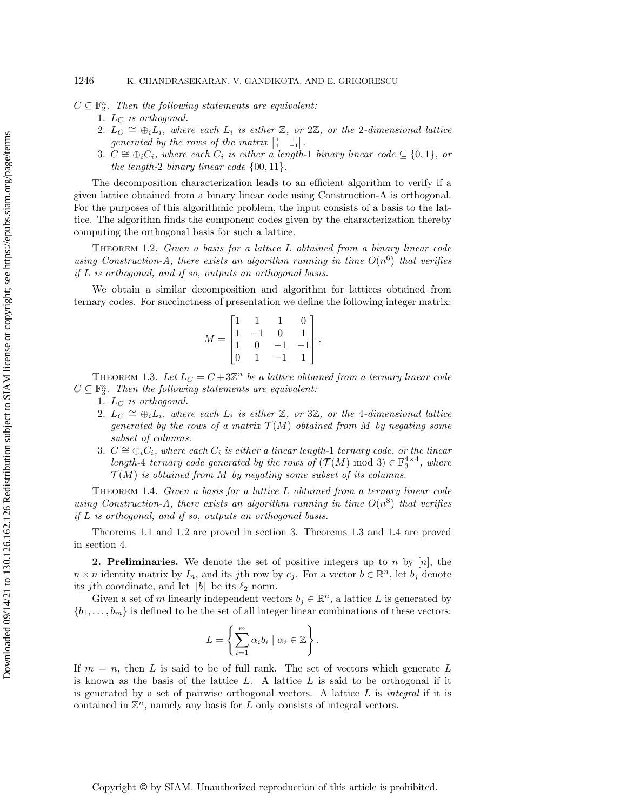$C \subseteq \mathbb{F}_2^n$ . Then the following statements are equivalent:

1.  $L_C$  is orthogonal.

- 2.  $L_C \cong \bigoplus_i L_i$ , where each  $L_i$  is either  $\mathbb{Z}$ , or  $2\mathbb{Z}$ , or the 2-dimensional lattice generated by the rows of the matrix  $\begin{bmatrix} 1 & 1 \\ 1 & -1 \end{bmatrix}$ .
- 3.  $C \cong \bigoplus_i C_i$ , where each  $C_i$  is either a length-1 binary linear code  $\subseteq \{0,1\}$ , or the length-2 binary linear code  $\{00, 11\}$ .

The decomposition characterization leads to an efficient algorithm to verify if a given lattice obtained from a binary linear code using Construction-A is orthogonal. For the purposes of this algorithmic problem, the input consists of a basis to the lattice. The algorithm finds the component codes given by the characterization thereby computing the orthogonal basis for such a lattice.

<span id="page-2-0"></span>Theorem 1.2. Given a basis for a lattice L obtained from a binary linear code using Construction-A, there exists an algorithm running in time  $O(n^6)$  that verifies if L is orthogonal, and if so, outputs an orthogonal basis.

We obtain a similar decomposition and algorithm for lattices obtained from ternary codes. For succinctness of presentation we define the following integer matrix:

$$
M = \begin{bmatrix} 1 & 1 & 1 & 0 \\ 1 & -1 & 0 & 1 \\ 1 & 0 & -1 & -1 \\ 0 & 1 & -1 & 1 \end{bmatrix}
$$

.

<span id="page-2-1"></span>THEOREM 1.3. Let  $L_C = C + 3\mathbb{Z}^n$  be a lattice obtained from a ternary linear code  $C \subseteq \mathbb{F}_3^n$ . Then the following statements are equivalent:

- 1.  $L_C$  is orthogonal.
	- 2.  $L_C \cong \bigoplus_i L_i$ , where each  $L_i$  is either  $\mathbb{Z}$ , or 3 $\mathbb{Z}$ , or the 4-dimensional lattice generated by the rows of a matrix  $\mathcal{T}(M)$  obtained from M by negating some subset of columns.
	- 3.  $C \cong \bigoplus_i C_i$ , where each  $C_i$  is either a linear length-1 ternary code, or the linear length-4 ternary code generated by the rows of  $(\mathcal{T}(M) \mod 3) \in \mathbb{F}_3^{4 \times 4}$ , where  $\mathcal{T}(M)$  is obtained from M by negating some subset of its columns.

<span id="page-2-2"></span>THEOREM 1.4. Given a basis for a lattice L obtained from a ternary linear code using Construction-A, there exists an algorithm running in time  $O(n^8)$  that verifies if L is orthogonal, and if so, outputs an orthogonal basis.

Theorems [1.1](#page-1-1) and [1.2](#page-2-0) are proved in section [3.](#page-6-0) Theorems [1.3](#page-2-1) and [1.4](#page-2-2) are proved in section [4.](#page-11-0)

**2. Preliminaries.** We denote the set of positive integers up to n by  $[n]$ , the  $n \times n$  identity matrix by  $I_n$ , and its jth row by  $e_j$ . For a vector  $b \in \mathbb{R}^n$ , let  $b_j$  denote its *j*th coordinate, and let  $||b||$  be its  $\ell_2$  norm.

Given a set of m linearly independent vectors  $b_j \in \mathbb{R}^n$ , a lattice L is generated by  ${b_1, \ldots, b_m}$  is defined to be the set of all integer linear combinations of these vectors:

$$
L = \left\{ \sum_{i=1}^{m} \alpha_i b_i \mid \alpha_i \in \mathbb{Z} \right\}.
$$

If  $m = n$ , then L is said to be of full rank. The set of vectors which generate L is known as the basis of the lattice  $L$ . A lattice  $L$  is said to be orthogonal if it is generated by a set of pairwise orthogonal vectors. A lattice  $L$  is *integral* if it is contained in  $\mathbb{Z}^n$ , namely any basis for  $L$  only consists of integral vectors.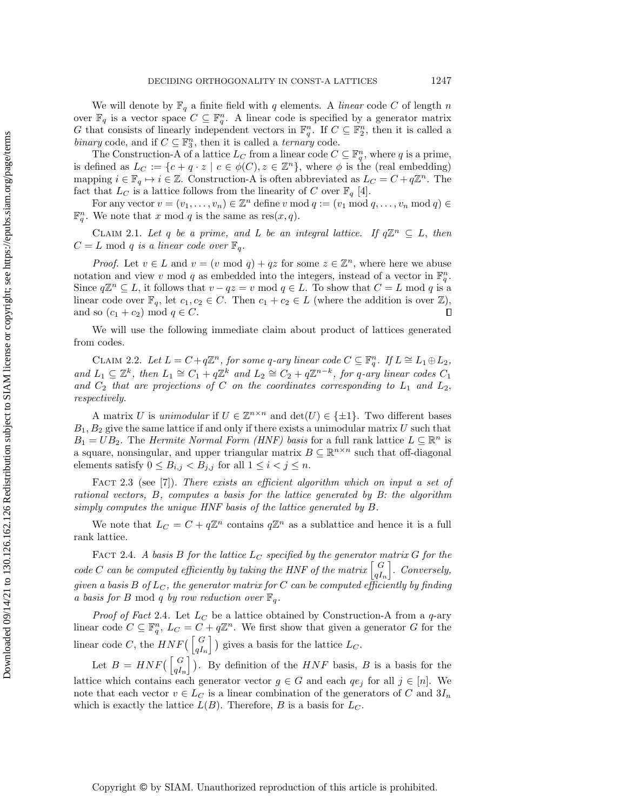We will denote by  $\mathbb{F}_q$  a finite field with q elements. A linear code C of length n over  $\mathbb{F}_q$  is a vector space  $C \subseteq \mathbb{F}_q^n$ . A linear code is specified by a generator matrix G that consists of linearly independent vectors in  $\mathbb{F}_q^n$ . If  $C \subseteq \mathbb{F}_2^n$ , then it is called a binary code, and if  $C \subseteq \mathbb{F}_3^n$ , then it is called a *ternary* code.

The Construction-A of a lattice  $L_C$  from a linear code  $C \subseteq \mathbb{F}_q^n$ , where q is a prime, is defined as  $L_C := \{c + q \cdot z \mid c \in \phi(C), z \in \mathbb{Z}^n\}$ , where  $\phi$  is the (real embedding) mapping  $i \in \mathbb{F}_q \mapsto i \in \mathbb{Z}$ . Construction-A is often abbreviated as  $L_C = C + q\mathbb{Z}^n$ . The fact that  $L_C$  is a lattice follows from the linearity of C over  $\mathbb{F}_q$  [\[4\]](#page-17-9).

For any vector  $v = (v_1, \ldots, v_n) \in \mathbb{Z}^n$  define v mod  $q := (v_1 \mod q, \ldots, v_n \mod q) \in$  $\mathbb{F}_q^n$ . We note that x mod q is the same as res $(x, q)$ .

<span id="page-3-1"></span>CLAIM 2.1. Let q be a prime, and L be an integral lattice. If  $q\mathbb{Z}^n \subseteq L$ , then  $C = L \mod q$  is a linear code over  $\mathbb{F}_q$ .

*Proof.* Let  $v \in L$  and  $v = (v \mod q) + qz$  for some  $z \in \mathbb{Z}^n$ , where here we abuse notation and view v mod q as embedded into the integers, instead of a vector in  $\mathbb{F}_q^n$ . Since  $q\mathbb{Z}^n \subseteq L$ , it follows that  $v - qz = v \mod q \in L$ . To show that  $C = L \mod q$  is a linear code over  $\mathbb{F}_q$ , let  $c_1, c_2 \in C$ . Then  $c_1 + c_2 \in L$  (where the addition is over  $\mathbb{Z}$ ), and so  $(c_1 + c_2) \mod q \in C$ .  $\Box$ 

<span id="page-3-2"></span>We will use the following immediate claim about product of lattices generated from codes.

CLAIM 2.2. Let  $L = C + q\mathbb{Z}^n$ , for some q-ary linear code  $C \subseteq \mathbb{F}_q^n$ . If  $L \cong L_1 \oplus L_2$ , and  $L_1 \subseteq \mathbb{Z}^k$ , then  $L_1 \cong C_1 + q\mathbb{Z}^k$  and  $L_2 \cong C_2 + q\mathbb{Z}^{n-k}$ , for q-ary linear codes  $C_1$ and  $C_2$  that are projections of C on the coordinates corresponding to  $L_1$  and  $L_2$ , respectively.

A matrix U is unimodular if  $U \in \mathbb{Z}^{n \times n}$  and  $\det(U) \in \{\pm 1\}$ . Two different bases  $B_1, B_2$  give the same lattice if and only if there exists a unimodular matrix U such that  $B_1 = UB_2$ . The *Hermite Normal Form (HNF) basis* for a full rank lattice  $L \subseteq \mathbb{R}^n$  is a square, nonsingular, and upper triangular matrix  $B \subseteq \mathbb{R}^{n \times n}$  such that off-diagonal elements satisfy  $0 \leq B_{i,j} < B_{j,j}$  for all  $1 \leq i < j \leq n$ .

FACT 2.3 (see [\[7\]](#page-17-11)). There exists an efficient algorithm which on input a set of rational vectors, B, computes a basis for the lattice generated by B: the algorithm simply computes the unique HNF basis of the lattice generated by B.

We note that  $L_C = C + q\mathbb{Z}^n$  contains  $q\mathbb{Z}^n$  as a sublattice and hence it is a full rank lattice.

<span id="page-3-0"></span>FACT 2.4. A basis B for the lattice  $L_C$  specified by the generator matrix G for the code C can be computed efficiently by taking the HNF of the matrix  $\begin{bmatrix} G \\ g \end{bmatrix}$  $qI_n$  $\big]$ . Conversely, given a basis B of  $L_C$ , the generator matrix for C can be computed efficiently by finding a basis for B mod q by row reduction over  $\mathbb{F}_q$ .

*Proof of Fact [2.4](#page-3-0).* Let  $L_C$  be a lattice obtained by Construction-A from a q-ary linear code  $C \subseteq \mathbb{F}_q^n$ ,  $L_C = C + q\mathbb{Z}^n$ . We first show that given a generator G for the linear code C, the  $HNF(\begin{bmatrix} G \\ af \end{bmatrix})$  $\begin{bmatrix} G \\ qI_n \end{bmatrix}$ ) gives a basis for the lattice  $L_C$ .

Let  $B = HNF(\begin{bmatrix} G \\ g \end{bmatrix})$  $\begin{bmatrix} G \\ qI_n \end{bmatrix}$ ). By definition of the  $HNF$  basis, B is a basis for the lattice which contains each generator vector  $g \in G$  and each  $qe_j$  for all  $j \in [n]$ . We note that each vector  $v \in L_C$  is a linear combination of the generators of C and  $3I_n$ which is exactly the lattice  $L(B)$ . Therefore, B is a basis for  $L_C$ .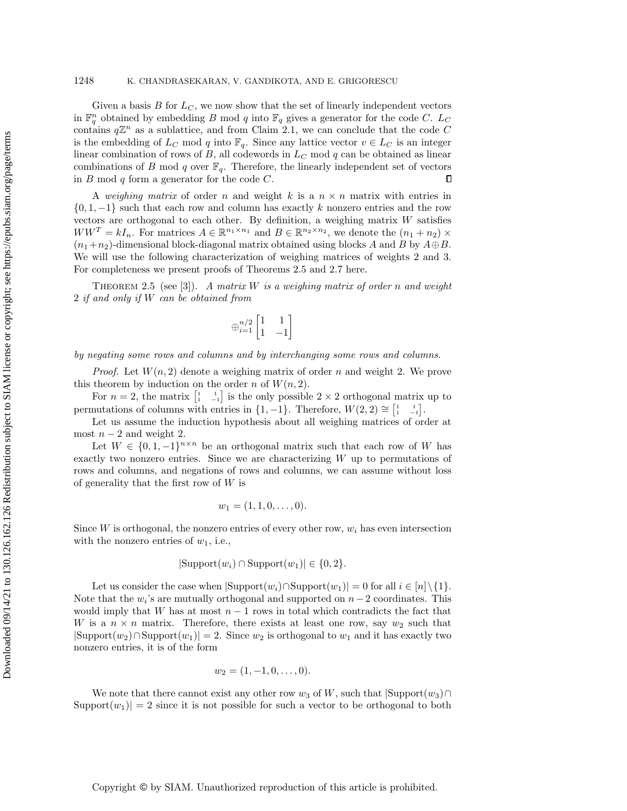Given a basis  $B$  for  $L<sub>C</sub>$ , we now show that the set of linearly independent vectors in  $\mathbb{F}_q^n$  obtained by embedding B mod q into  $\mathbb{F}_q$  gives a generator for the code C. L<sub>C</sub> contains  $q\mathbb{Z}^n$  as a sublattice, and from Claim [2.1,](#page-3-1) we can conclude that the code C is the embedding of  $L_C$  mod q into  $\mathbb{F}_q$ . Since any lattice vector  $v \in L_C$  is an integer linear combination of rows of  $B$ , all codewords in  $L<sub>C</sub>$  mod  $q$  can be obtained as linear combinations of B mod q over  $\mathbb{F}_q$ . Therefore, the linearly independent set of vectors in  $B \mod q$  form a generator for the code  $C$ .  $\Box$ 

A weighing matrix of order n and weight k is a  $n \times n$  matrix with entries in  $\{0, 1, -1\}$  such that each row and column has exactly k nonzero entries and the row vectors are orthogonal to each other. By definition, a weighing matrix  $W$  satisfies  $WW^T = kI_n$ . For matrices  $A \in \mathbb{R}^{n_1 \times n_1}$  and  $B \in \mathbb{R}^{n_2 \times n_2}$ , we denote the  $(n_1 + n_2) \times$  $(n_1+n_2)$ -dimensional block-diagonal matrix obtained using blocks A and B by  $A\oplus B$ . We will use the following characterization of weighing matrices of weights 2 and 3. For completeness we present proofs of Theorems [2.5](#page-4-0) and [2.7](#page-5-0) here.

<span id="page-4-0"></span>THEOREM 2.5 (see [\[3\]](#page-17-10)). A matrix W is a weighing matrix of order n and weight 2 if and only if W can be obtained from

$$
\oplus_{i=1}^{n/2}\begin{bmatrix}1&1\\1&-1\end{bmatrix}
$$

by negating some rows and columns and by interchanging some rows and columns.

*Proof.* Let  $W(n, 2)$  denote a weighing matrix of order n and weight 2. We prove this theorem by induction on the order n of  $W(n, 2)$ .

For  $n=2$ , the matrix  $\begin{bmatrix} 1 & 1 \\ 1 & -1 \end{bmatrix}$  is the only possible  $2 \times 2$  orthogonal matrix up to permutations of columns with entries in  $\{1, -1\}$ . Therefore,  $W(2, 2) \cong \begin{bmatrix} 1 & 1 \\ 1 & -1 \end{bmatrix}$ .

Let us assume the induction hypothesis about all weighing matrices of order at most  $n-2$  and weight 2.

Let  $W \in \{0, 1, -1\}^{n \times n}$  be an orthogonal matrix such that each row of W has exactly two nonzero entries. Since we are characterizing  $W$  up to permutations of rows and columns, and negations of rows and columns, we can assume without loss of generality that the first row of  $W$  is

$$
w_1=(1,1,0,\ldots,0).
$$

Since  $W$  is orthogonal, the nonzero entries of every other row,  $w_i$  has even intersection with the nonzero entries of  $w_1$ , i.e.,

$$
|\text{Support}(w_i) \cap \text{Support}(w_1)| \in \{0, 2\}.
$$

Let us consider the case when  $|\text{Support}(w_i) \cap \text{Support}(w_1)| = 0$  for all  $i \in [n] \setminus \{1\}.$ Note that the  $w_i$ 's are mutually orthogonal and supported on  $n-2$  coordinates. This would imply that W has at most  $n-1$  rows in total which contradicts the fact that W is a  $n \times n$  matrix. Therefore, there exists at least one row, say  $w_2$  such that  $|\text{Support}(w_2) \cap \text{Support}(w_1)| = 2$ . Since  $w_2$  is orthogonal to  $w_1$  and it has exactly two nonzero entries, it is of the form

$$
w_2=(1,-1,0,\ldots,0).
$$

We note that there cannot exist any other row  $w_3$  of W, such that  $|\text{Support}(w_3) \cap$  $\text{Support}(w_1)| = 2$  since it is not possible for such a vector to be orthogonal to both

Copyright © by SIAM. Unauthorized reproduction of this article is prohibited.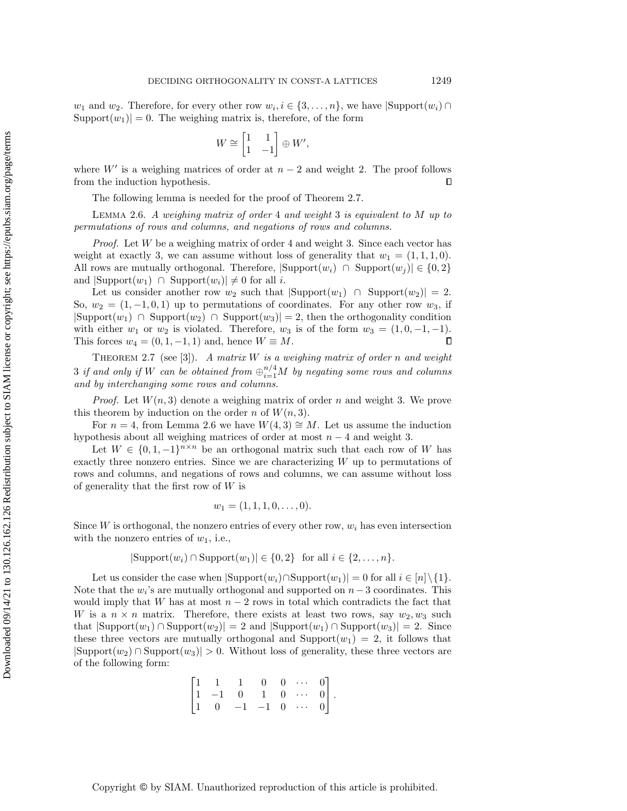$w_1$  and  $w_2$ . Therefore, for every other row  $w_i, i \in \{3, ..., n\}$ , we have  $|\text{Support}(w_i) \cap$  $\text{Support}(w_1)| = 0.$  The weighing matrix is, therefore, of the form

$$
W \cong \begin{bmatrix} 1 & 1 \\ 1 & -1 \end{bmatrix} \oplus W',
$$

where  $W'$  is a weighing matrices of order at  $n-2$  and weight 2. The proof follows from the induction hypothesis.  $\Box$ 

The following lemma is needed for the proof of Theorem [2.7.](#page-5-0)

<span id="page-5-1"></span>LEMMA 2.6. A weighing matrix of order 4 and weight 3 is equivalent to  $M$  up to permutations of rows and columns, and negations of rows and columns.

*Proof.* Let  $W$  be a weighing matrix of order 4 and weight 3. Since each vector has weight at exactly 3, we can assume without loss of generality that  $w_1 = (1, 1, 1, 0)$ . All rows are mutually orthogonal. Therefore,  $|\text{Support}(w_i) \cap \text{Support}(w_j)| \in \{0, 2\}$ and  $|\text{Support}(w_1)| \cap \text{Support}(w_i)| \neq 0$  for all i.

Let us consider another row  $w_2$  such that  $|\text{Support}(w_1)| \cap \text{Support}(w_2)| = 2$ . So,  $w_2 = (1, -1, 0, 1)$  up to permutations of coordinates. For any other row  $w_3$ , if  $|\text{Support}(w_1) \cap \text{Support}(w_2) \cap \text{Support}(w_3)| = 2$ , then the orthogonality condition with either  $w_1$  or  $w_2$  is violated. Therefore,  $w_3$  is of the form  $w_3 = (1, 0, -1, -1)$ . This forces  $w_4 = (0, 1, -1, 1)$  and, hence  $W \equiv M$ .  $\Box$ 

<span id="page-5-0"></span>THEOREM 2.7 (see [\[3\]](#page-17-10)). A matrix W is a weighing matrix of order n and weight  $3$  if and only if  $W$  can be obtained from  $\oplus_{i=1}^{n/4}M$  by negating some rows and columns and by interchanging some rows and columns.

*Proof.* Let  $W(n, 3)$  denote a weighing matrix of order n and weight 3. We prove this theorem by induction on the order n of  $W(n, 3)$ .

For  $n = 4$ , from Lemma [2.6](#page-5-1) we have  $W(4, 3) \cong M$ . Let us assume the induction hypothesis about all weighing matrices of order at most  $n-4$  and weight 3.

Let  $W \in \{0, 1, -1\}^{n \times n}$  be an orthogonal matrix such that each row of W has exactly three nonzero entries. Since we are characterizing W up to permutations of rows and columns, and negations of rows and columns, we can assume without loss of generality that the first row of  $W$  is

$$
w_1 = (1, 1, 1, 0, \dots, 0).
$$

Since W is orthogonal, the nonzero entries of every other row,  $w_i$  has even intersection with the nonzero entries of  $w_1$ , i.e.,

$$
|\text{Support}(w_i) \cap \text{Support}(w_1)| \in \{0, 2\} \text{ for all } i \in \{2, ..., n\}.
$$

Let us consider the case when  $|\text{Support}(w_i) \cap \text{Support}(w_1)| = 0$  for all  $i \in [n] \setminus \{1\}.$ Note that the  $w_i$ 's are mutually orthogonal and supported on  $n-3$  coordinates. This would imply that W has at most  $n-2$  rows in total which contradicts the fact that W is a  $n \times n$  matrix. Therefore, there exists at least two rows, say  $w_2, w_3$  such that  $|\text{Support}(w_1) \cap \text{Support}(w_2)| = 2$  and  $|\text{Support}(w_1) \cap \text{Support}(w_3)| = 2$ . Since these three vectors are mutually orthogonal and  $\text{Support}(w_1) = 2$ , it follows that  $|\text{Support}(w_2) \cap \text{Support}(w_3)| > 0$ . Without loss of generality, these three vectors are of the following form:

$$
\begin{bmatrix} 1 & 1 & 1 & 0 & 0 & \cdots & 0 \\ 1 & -1 & 0 & 1 & 0 & \cdots & 0 \\ 1 & 0 & -1 & -1 & 0 & \cdots & 0 \end{bmatrix}.
$$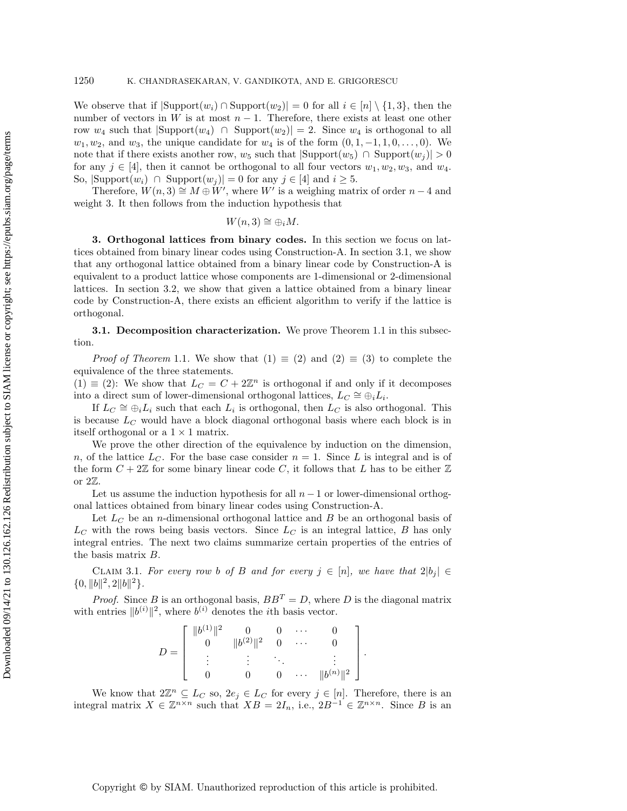We observe that if  $|\text{Support}(w_i) \cap \text{Support}(w_2)| = 0$  for all  $i \in [n] \setminus \{1, 3\}$ , then the number of vectors in W is at most  $n-1$ . Therefore, there exists at least one other row  $w_4$  such that  $|\text{Support}(w_4)| \cap \text{Support}(w_2)| = 2$ . Since  $w_4$  is orthogonal to all  $w_1, w_2$ , and  $w_3$ , the unique candidate for  $w_4$  is of the form  $(0, 1, -1, 1, 0, \ldots, 0)$ . We note that if there exists another row,  $w_5$  such that  $|\text{Support}(w_5) \cap \text{Support}(w_i)| > 0$ for any  $j \in [4]$ , then it cannot be orthogonal to all four vectors  $w_1, w_2, w_3$ , and  $w_4$ . So,  $|\text{Support}(w_i) \cap \text{Support}(w_j)| = 0$  for any  $j \in [4]$  and  $i \geq 5$ .

Therefore,  $W(n, 3) \cong M \oplus W'$ , where W<sup>i</sup> is a weighing matrix of order  $n - 4$  and weight 3. It then follows from the induction hypothesis that

$$
W(n,3) \cong \oplus_i M.
$$

<span id="page-6-0"></span>3. Orthogonal lattices from binary codes. In this section we focus on lattices obtained from binary linear codes using Construction-A. In section [3.1,](#page-6-1) we show that any orthogonal lattice obtained from a binary linear code by Construction-A is equivalent to a product lattice whose components are 1-dimensional or 2-dimensional lattices. In section [3.2,](#page-9-0) we show that given a lattice obtained from a binary linear code by Construction-A, there exists an efficient algorithm to verify if the lattice is orthogonal.

<span id="page-6-1"></span>**3.1. Decomposition characterization.** We prove Theorem [1.1](#page-1-1) in this subsection.

*Proof of Theorem* [1.1](#page-1-1). We show that  $(1) \equiv (2)$  and  $(2) \equiv (3)$  to complete the equivalence of the three statements.

 $(1) \equiv (2)$ : We show that  $L_C = C + 2\mathbb{Z}^n$  is orthogonal if and only if it decomposes into a direct sum of lower-dimensional orthogonal lattices,  $L_C \cong \overset{\sim}{\oplus}_i L_i$ .

If  $L_C \cong \bigoplus_i L_i$  such that each  $L_i$  is orthogonal, then  $L_C$  is also orthogonal. This is because  $L_C$  would have a block diagonal orthogonal basis where each block is in itself orthogonal or a  $1 \times 1$  matrix.

We prove the other direction of the equivalence by induction on the dimension, n, of the lattice  $L_C$ . For the base case consider  $n = 1$ . Since L is integral and is of the form  $C + 2\mathbb{Z}$  for some binary linear code C, it follows that L has to be either  $\mathbb{Z}$ or 2Z.

Let us assume the induction hypothesis for all  $n - 1$  or lower-dimensional orthogonal lattices obtained from binary linear codes using Construction-A.

Let  $L_C$  be an *n*-dimensional orthogonal lattice and  $B$  be an orthogonal basis of  $L<sub>C</sub>$  with the rows being basis vectors. Since  $L<sub>C</sub>$  is an integral lattice, B has only integral entries. The next two claims summarize certain properties of the entries of the basis matrix B.

<span id="page-6-2"></span>CLAIM 3.1. For every row b of B and for every  $j \in [n]$ , we have that  $2|b_j| \in$  ${0, ||b||^2, 2||b||^2}.$ 

*Proof.* Since B is an orthogonal basis,  $BB^T = D$ , where D is the diagonal matrix with entries  $||b^{(i)}||^2$ , where  $b^{(i)}$  denotes the *i*th basis vector.

$$
D = \left[ \begin{array}{ccccc} \|b^{(1)}\|^2 & 0 & 0 & \cdots & 0 \\ 0 & \|b^{(2)}\|^2 & 0 & \cdots & 0 \\ \vdots & \vdots & \ddots & \vdots & \vdots \\ 0 & 0 & 0 & \cdots & \|b^{(n)}\|^2 \end{array} \right].
$$

We know that  $2\mathbb{Z}^n \subseteq L_C$  so,  $2e_j \in L_C$  for every  $j \in [n]$ . Therefore, there is an integral matrix  $X \in \mathbb{Z}^{n \times n}$  such that  $XB = 2I_n$ , i.e.,  $2B^{-1} \in \mathbb{Z}^{n \times n}$ . Since B is an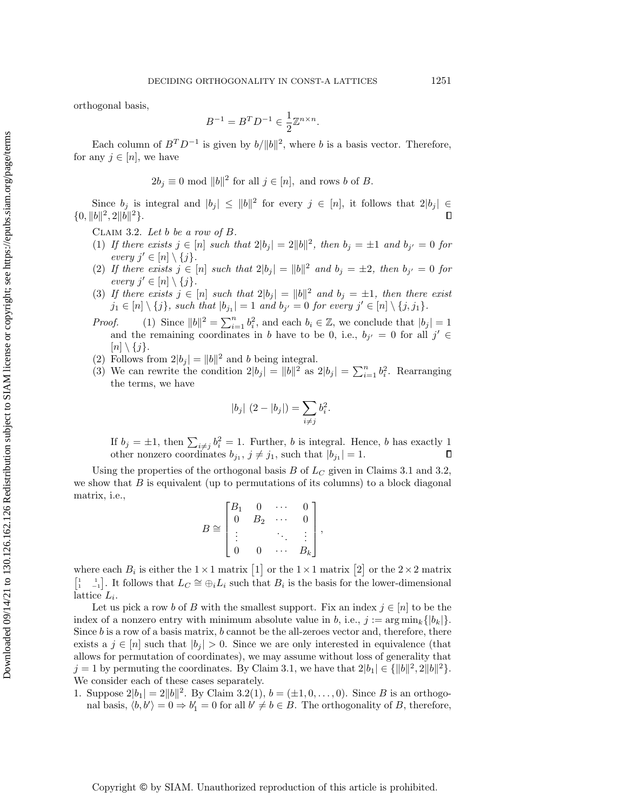orthogonal basis,

$$
B^{-1} = B^T D^{-1} \in \frac{1}{2} \mathbb{Z}^{n \times n}.
$$

Each column of  $B^T D^{-1}$  is given by  $b/||b||^2$ , where b is a basis vector. Therefore, for any  $j \in [n]$ , we have

$$
2b_j \equiv 0 \mod ||b||^2
$$
 for all  $j \in [n]$ , and rows b of B.

Since  $b_j$  is integral and  $|b_j| \leq ||b||^2$  for every  $j \in [n]$ , it follows that  $2|b_j| \in$  ${0, ||b||^2, 2||b||^2}.$ П

<span id="page-7-0"></span>CLAIM 3.2. Let b be a row of  $B$ .

- (1) If there exists  $j \in [n]$  such that  $2|b_j| = 2||b||^2$ , then  $b_j = \pm 1$  and  $b_{j'} = 0$  for every  $j' \in [n] \setminus \{j\}.$
- (2) If there exists  $j \in [n]$  such that  $2|b_j| = ||b||^2$  and  $b_j = \pm 2$ , then  $b_{j'} = 0$  for every  $j' \in [n] \setminus \{j\}.$
- (3) If there exists  $j \in [n]$  such that  $2|b_j| = ||b||^2$  and  $b_j = \pm 1$ , then there exist  $j_1 \in [n] \setminus \{j\}$ , such that  $|b_{j_1}| = 1$  and  $b_{j'} = 0$  for every  $j' \in [n] \setminus \{j, j_1\}$ .
- *Proof.* (1) Since  $||b||^2 = \sum_{i=1}^n b_i^2$ , and each  $b_i \in \mathbb{Z}$ , we conclude that  $|b_j| = 1$ and the remaining coordinates in b have to be 0, i.e.,  $b_{j'} = 0$  for all  $j' \in$  $[n] \setminus \{j\}.$
- (2) Follows from  $2|b_j| = ||b||^2$  and b being integral.
- (3) We can rewrite the condition  $2|b_j| = ||b||^2$  as  $2|b_j| = \sum_{i=1}^n b_i^2$ . Rearranging the terms, we have

$$
|b_j| (2 - |b_j|) = \sum_{i \neq j} b_i^2.
$$

If  $b_j = \pm 1$ , then  $\sum_{i \neq j} b_i^2 = 1$ . Further, b is integral. Hence, b has exactly 1 other nonzero coordinates  $b_{j_1}, j \neq j_1$ , such that  $|b_{j_1}| = 1$ .

Using the properties of the orthogonal basis B of  $L_C$  given in Claims [3.1](#page-6-2) and [3.2,](#page-7-0) we show that  $B$  is equivalent (up to permutations of its columns) to a block diagonal matrix, i.e.,

$$
B \cong \begin{bmatrix} B_1 & 0 & \cdots & 0 \\ 0 & B_2 & \cdots & 0 \\ \vdots & & \ddots & \vdots \\ 0 & 0 & \cdots & B_k \end{bmatrix},
$$

where each  $B_i$  is either the  $1 \times 1$  matrix  $\begin{bmatrix} 1 \end{bmatrix}$  or the  $1 \times 1$  matrix  $\begin{bmatrix} 2 \end{bmatrix}$  or the  $2 \times 2$  matrix  $\begin{bmatrix} 1 & 1 \\ 1 & -1 \end{bmatrix}$ . It follows that  $L_C \cong \bigoplus_i L_i$  such that  $B_i$  is the basis for the lower-dimensional lattice  $L_i$ .

Let us pick a row b of B with the smallest support. Fix an index  $j \in [n]$  to be the index of a nonzero entry with minimum absolute value in b, i.e.,  $j := \arg \min_k \{|b_k|\}$ . Since  $b$  is a row of a basis matrix,  $b$  cannot be the all-zeroes vector and, therefore, there exists a  $j \in [n]$  such that  $|b_j| > 0$ . Since we are only interested in equivalence (that allows for permutation of coordinates), we may assume without loss of generality that  $j = 1$  by permuting the coordinates. By Claim [3.1,](#page-6-2) we have that  $2|b_1| \in {\{||b||^2, 2||b||^2\}}.$ We consider each of these cases separately.

1. Suppose  $2|b_1| = 2||b||^2$ . By Claim [3.2\(](#page-7-0)1),  $b = (\pm 1, 0, \ldots, 0)$ . Since B is an orthogonal basis,  $\langle b, b' \rangle = 0 \Rightarrow b'_1 = 0$  for all  $b' \neq b \in B$ . The orthogonality of B, therefore,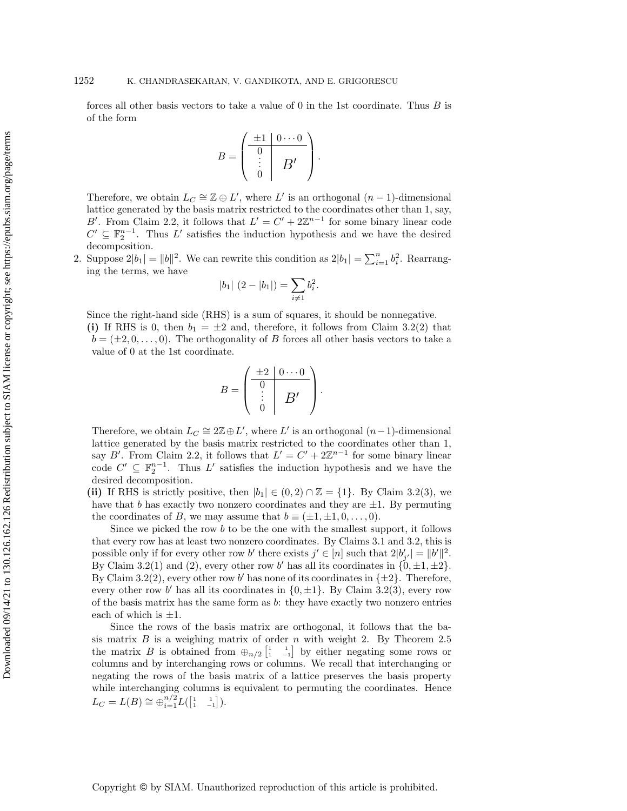forces all other basis vectors to take a value of 0 in the 1st coordinate. Thus  $B$  is of the form

$$
B = \begin{pmatrix} \pm 1 & 0 & \cdots & 0 \\ \hline 0 & & & \\ \vdots & & & B' \\ 0 & & & \end{pmatrix}.
$$

Therefore, we obtain  $L_C \cong \mathbb{Z} \oplus L'$ , where  $L'$  is an orthogonal  $(n-1)$ -dimensional lattice generated by the basis matrix restricted to the coordinates other than 1, say, B'. From Claim [2.2,](#page-3-2) it follows that  $L' = C' + 2\mathbb{Z}^{n-1}$  for some binary linear code  $C' \subseteq \mathbb{F}_2^{n-1}$ . Thus L' satisfies the induction hypothesis and we have the desired decomposition.

2. Suppose  $2|b_1| = ||b||^2$ . We can rewrite this condition as  $2|b_1| = \sum_{i=1}^n b_i^2$ . Rearranging the terms, we have

$$
|b_1| (2 - |b_1|) = \sum_{i \neq 1} b_i^2.
$$

Since the right-hand side (RHS) is a sum of squares, it should be nonnegative.

(i) If RHS is 0, then  $b_1 = \pm 2$  and, therefore, it follows from Claim [3.2\(](#page-7-0)2) that  $b = (\pm 2, 0, \dots, 0)$ . The orthogonality of B forces all other basis vectors to take a value of 0 at the 1st coordinate.

$$
B = \begin{pmatrix} \pm 2 & 0 & \cdots & 0 \\ 0 & & & \\ \vdots & & B' & \\ 0 & & & \end{pmatrix}.
$$

Therefore, we obtain  $L_C \cong 2\mathbb{Z} \oplus L'$ , where L' is an orthogonal  $(n-1)$ -dimensional lattice generated by the basis matrix restricted to the coordinates other than 1, say B'. From Claim [2.2,](#page-3-2) it follows that  $L' = C' + 2\mathbb{Z}^{n-1}$  for some binary linear code  $C' \subseteq \mathbb{F}_2^{n-1}$ . Thus L' satisfies the induction hypothesis and we have the desired decomposition.

(ii) If RHS is strictly positive, then  $|b_1| \in (0, 2) \cap \mathbb{Z} = \{1\}$ . By Claim [3.2\(](#page-7-0)3), we have that b has exactly two nonzero coordinates and they are  $\pm 1$ . By permuting the coordinates of B, we may assume that  $b \equiv (\pm 1, \pm 1, 0, \ldots, 0)$ .

Since we picked the row  $b$  to be the one with the smallest support, it follows that every row has at least two nonzero coordinates. By Claims [3.1](#page-6-2) and [3.2,](#page-7-0) this is possible only if for every other row b' there exists  $j' \in [n]$  such that  $2|b'_{j'}| = ||b'||^2$ . By Claim [3.2\(](#page-7-0)1) and (2), every other row b' has all its coordinates in  $\{0, \pm 1, \pm 2\}$ . By Claim [3.2\(](#page-7-0)2), every other row b' has none of its coordinates in  $\{\pm 2\}$ . Therefore, every other row b' has all its coordinates in  $\{0, \pm 1\}$ . By Claim [3.2\(](#page-7-0)3), every row of the basis matrix has the same form as b: they have exactly two nonzero entries each of which is  $\pm 1$ .

Since the rows of the basis matrix are orthogonal, it follows that the basis matrix  $B$  is a weighing matrix of order  $n$  with weight 2. By Theorem [2.5](#page-4-0) the matrix B is obtained from  $\bigoplus_{n/2} \begin{bmatrix} 1 & 1 \\ 1 & -1 \end{bmatrix}$  by either negating some rows or columns and by interchanging rows or columns. We recall that interchanging or negating the rows of the basis matrix of a lattice preserves the basis property while interchanging columns is equivalent to permuting the coordinates. Hence  $L_C = L(B) \cong \bigoplus_{i=1}^{n/2} L([\begin{smallmatrix} 1 & 1 \\ 1 & -1 \end{smallmatrix}])$ .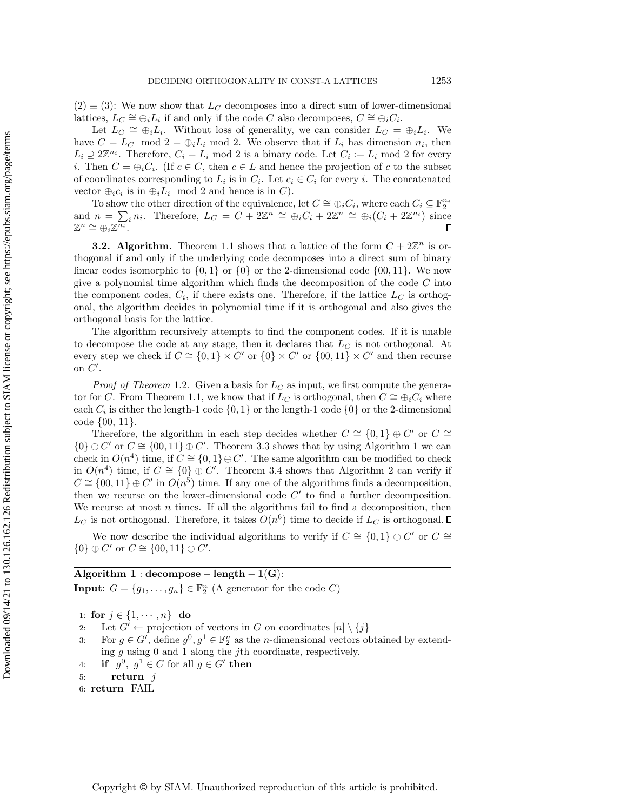$(2) \equiv (3)$ : We now show that  $L_C$  decomposes into a direct sum of lower-dimensional lattices,  $L_C \cong \bigoplus_i L_i$  if and only if the code C also decomposes,  $C \cong \bigoplus_i C_i$ .

Let  $L_C \cong \bigoplus_i L_i$ . Without loss of generality, we can consider  $L_C = \bigoplus_i L_i$ . We have  $C = L_C \mod 2 = \bigoplus_i L_i \mod 2$ . We observe that if  $L_i$  has dimension  $n_i$ , then  $L_i \supseteq 2\mathbb{Z}^{n_i}$ . Therefore,  $C_i = L_i$  mod 2 is a binary code. Let  $C_i := L_i$  mod 2 for every *i*. Then  $C = \bigoplus_i C_i$ . (If  $c \in C$ , then  $c \in L$  and hence the projection of c to the subset of coordinates corresponding to  $L_i$  is in  $C_i$ . Let  $c_i \in C_i$  for every i. The concatenated vector  $\bigoplus_i c_i$  is in  $\bigoplus_i L_i$  mod 2 and hence is in C).

To show the other direction of the equivalence, let  $C \cong \bigoplus_i C_i$ , where each  $C_i \subseteq \mathbb{F}_2^{n_i}$ <br>and  $n = \sum_i n_i$ . Therefore,  $L_C = C + 2\mathbb{Z}^n \cong \bigoplus_i C_i + 2\mathbb{Z}^n \cong \bigoplus_i (C_i + 2\mathbb{Z}^{n_i})$  since  $\mathbb{Z}^n \cong \bigoplus_i \mathbb{Z}^{\overline{n_i}}.$  $\Box$ 

<span id="page-9-0"></span>**3.2. Algorithm.** Theorem [1.1](#page-1-1) shows that a lattice of the form  $C + 2\mathbb{Z}^n$  is orthogonal if and only if the underlying code decomposes into a direct sum of binary linear codes isomorphic to  $\{0,1\}$  or  $\{0\}$  or the 2-dimensional code  $\{00,11\}$ . We now give a polynomial time algorithm which finds the decomposition of the code  $C$  into the component codes,  $C_i$ , if there exists one. Therefore, if the lattice  $L_C$  is orthogonal, the algorithm decides in polynomial time if it is orthogonal and also gives the orthogonal basis for the lattice.

The algorithm recursively attempts to find the component codes. If it is unable to decompose the code at any stage, then it declares that  $L_C$  is not orthogonal. At every step we check if  $C \cong \{0,1\} \times C'$  or  $\{0\} \times C'$  or  $\{00,11\} \times C'$  and then recurse on  $C'$ .

*Proof of Theorem* [1.2](#page-2-0). Given a basis for  $L_C$  as input, we first compute the genera-tor for C. From Theorem [1.1,](#page-1-1) we know that if  $L_C$  is orthogonal, then  $C \cong \bigoplus_i C_i$  where each  $C_i$  is either the length-1 code  $\{0, 1\}$  or the length-1 code  $\{0\}$  or the 2-dimensional code {00, 11}.

Therefore, the algorithm in each step decides whether  $C \cong \{0,1\} \oplus C'$  or  $C \cong$  ${0} \oplus C'$  or  $C \cong {00, 11} \oplus C'$  $C \cong {00, 11} \oplus C'$  $C \cong {00, 11} \oplus C'$ . Theorem [3.3](#page-9-1) shows that by using Algorithm 1 we can check in  $O(n^4)$  time, if  $C \cong \{0,1\} \oplus C'$ . The same algorithm can be modified to check in  $O(n^4)$  time, if  $C \cong \{0\} \oplus C'$ . Theorem [3.4](#page-10-0) shows that Algorithm [2](#page-10-1) can verify if  $C \cong \{00, 11\} \oplus C'$  in  $O(n^5)$  time. If any one of the algorithms finds a decomposition, then we recurse on the lower-dimensional code  $C'$  to find a further decomposition. We recurse at most  $n$  times. If all the algorithms fail to find a decomposition, then  $L_C$  is not orthogonal. Therefore, it takes  $O(n^6)$  time to decide if  $L_C$  is orthogonal.

We now describe the individual algorithms to verify if  $C \cong \{0,1\} \oplus C'$  or  $C \cong$  ${0} \oplus C'$  or  $C \cong {00, 11} \oplus C'.$ 

# Algorithm  $1 : decompose - length - 1(G):$

<span id="page-9-2"></span>**Input:**  $G = \{g_1, \ldots, g_n\} \in \mathbb{F}_2^n$  (A generator for the code C)

1: for  $j \in \{1, \dots, n\}$  do

2: Let  $G' \leftarrow$  projection of vectors in G on coordinates  $[n] \setminus \{j\}$ 

- 3: For  $g \in G'$ , define  $g^0, g^1 \in \mathbb{F}_2^n$  as the *n*-dimensional vectors obtained by extending  $g$  using 0 and 1 along the *j*th coordinate, respectively.
- 4: if  $g^0, g^1 \in C$  for all  $g \in G'$  then
- 5: return  $j$
- <span id="page-9-1"></span>6: return FAIL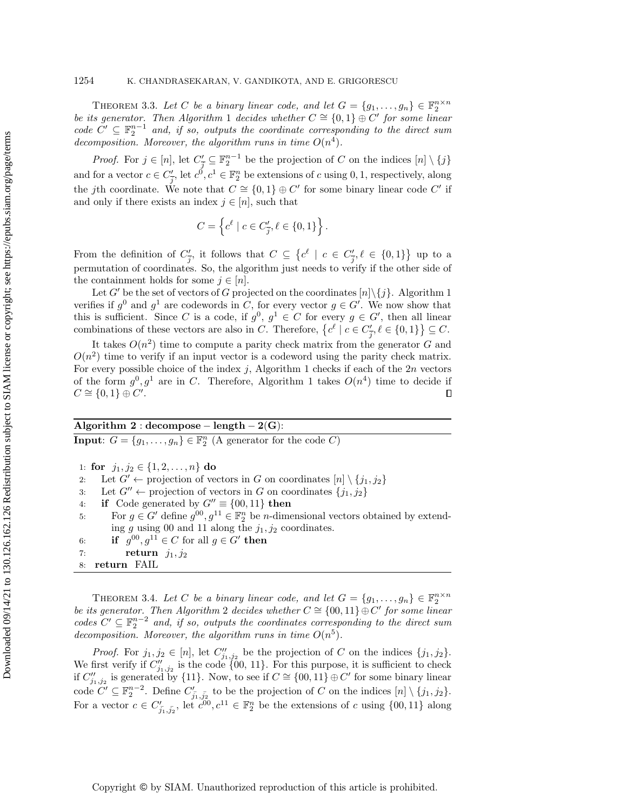THEOREM 3.3. Let C be a binary linear code, and let  $G = \{g_1, \ldots, g_n\} \in \mathbb{F}_2^{n \times n}$ be its generator. Then Algorithm [1](#page-9-2) decides whether  $C \cong \{0,1\} \oplus C'$  for some linear code  $C' \subseteq \mathbb{F}_2^{n-1}$  and, if so, outputs the coordinate corresponding to the direct sum decomposition. Moreover, the algorithm runs in time  $O(n^4)$ .

*Proof.* For  $j \in [n]$ , let  $C'_{\overline{j}} \subseteq \mathbb{F}_2^{n-1}$  be the projection of C on the indices  $[n] \setminus \{j\}$ and for a vector  $c \in C'_{\overline{j}}$ , let  $c^0, c^1 \in \mathbb{F}_2^n$  be extensions of c using 0, 1, respectively, along the jth coordinate. We note that  $C \cong \{0,1\} \oplus C'$  for some binary linear code  $C'$  if and only if there exists an index  $j \in [n]$ , such that

$$
C = \left\{c^{\ell} \mid c \in C'_{\overline{j}}, \ell \in \{0, 1\}\right\}.
$$

From the definition of  $C'_{\overline{j}}$ , it follows that  $C \subseteq \{c^{\ell} \mid c \in C'_{\overline{j}}, \ell \in \{0,1\}\}\$ up to a permutation of coordinates. So, the algorithm just needs to verify if the other side of the containment holds for some  $j \in [n]$ .

Let G' be the set of vectors of G projected on the coordinates  $[n]\setminus\{j\}$ . Algorithm [1](#page-9-2) verifies if  $g^0$  and  $g^1$  are codewords in C, for every vector  $g \in G'$ . We now show that this is sufficient. Since C is a code, if  $g^0, g^1 \in C$  for every  $g \in G'$ , then all linear combinations of these vectors are also in C. Therefore,  $\{c^{\ell} \mid c \in C'_{\overline{j}}, \ell \in \{0,1\}\} \subseteq C$ .

It takes  $O(n^2)$  time to compute a parity check matrix from the generator G and  $O(n^2)$  time to verify if an input vector is a codeword using the parity check matrix. For every possible choice of the index  $j$ , Algorithm [1](#page-9-2) checks if each of the  $2n$  vectors of the form  $g^0, g^1$  are in C. Therefore, Algorithm [1](#page-9-2) takes  $O(n^4)$  time to decide if  $C \cong \{0,1\} \oplus C'.$  $\Box$ 

## Algorithm 2 : decompose – length –  $2(G)$ :

<span id="page-10-1"></span>**Input:**  $G = \{g_1, \ldots, g_n\} \in \mathbb{F}_2^n$  (A generator for the code C)

1: for  $j_1, j_2 \in \{1, 2, ..., n\}$  do

2: Let  $G' \leftarrow$  projection of vectors in G on coordinates  $[n] \setminus \{j_1, j_2\}$ 

3: Let  $G'' \leftarrow$  projection of vectors in G on coordinates  $\{j_1, j_2\}$ 

4: if Code generated by  $G'' \equiv \{00, 11\}$  then

5: For  $g \in G'$  define  $g^{00}, g^{11} \in \mathbb{F}_2^n$  be *n*-dimensional vectors obtained by extending  $g$  using 00 and 11 along the  $j_1, j_2$  coordinates.

6: if  $g^{00}, g^{11} \in C$  for all  $g \in G'$  then

7: return  $j_1, j_2$ 

<span id="page-10-0"></span>THEOREM 3.4. Let C be a binary linear code, and let  $G = \{g_1, \ldots, g_n\} \in \mathbb{F}_2^{n \times n}$ be its generator. Then Algorithm [2](#page-10-1) decides whether  $C \cong \{00, 11\} \oplus C'$  for some linear codes  $C' \subseteq \mathbb{F}_2^{n-2}$  and, if so, outputs the coordinates corresponding to the direct sum decomposition. Moreover, the algorithm runs in time  $O(n^5)$ .

*Proof.* For  $j_1, j_2 \in [n]$ , let  $C''_{j_1, j_2}$  be the projection of C on the indices  $\{j_1, j_2\}$ . We first verify if  $C''_{j_1,j_2}$  is the code {00, 11}. For this purpose, it is sufficient to check if  $C''_{j_1,j_2}$  is generated by {11}. Now, to see if  $C \cong \{00,11\} \oplus C'$  for some binary linear code  $C' \subseteq \mathbb{F}_2^{n-2}$ . Define  $C'_{\overline{j_1}, \overline{j_2}}$  to be the projection of C on the indices  $[n] \setminus \{j_1, j_2\}$ . For a vector  $c \in C'_{\overline{j_1}, \overline{j_2}}$ , let  $\overline{c^{00}}, c^{11} \in \mathbb{F}_2^n$  be the extensions of c using  $\{00, 11\}$  along

<sup>8:</sup> return FAIL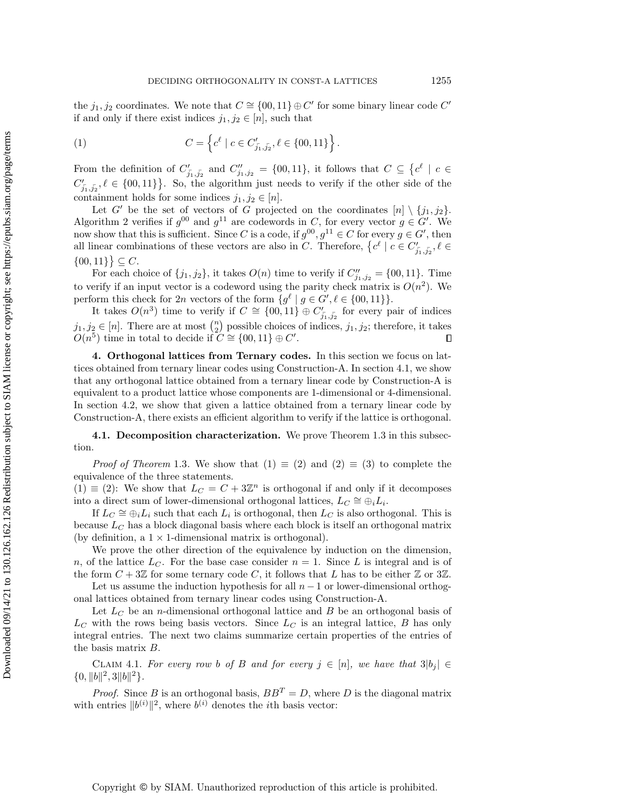the  $j_1, j_2$  coordinates. We note that  $C \cong \{00, 11\} \oplus C'$  for some binary linear code  $C'$ if and only if there exist indices  $j_1, j_2 \in [n]$ , such that

(1) 
$$
C = \left\{ c^{\ell} \mid c \in C'_{j_1, j_2}, \ell \in \{00, 11\} \right\}.
$$

From the definition of  $C'_{\overline{j_1},\overline{j_2}}$  and  $C''_{j_1,j_2} = \{00,11\}$ , it follows that  $C \subseteq \{c^{\ell} \mid c \in$  $C'_{\overline{j_1},\overline{j_2}}, \ell \in \{00,11\}$ . So, the algorithm just needs to verify if the other side of the containment holds for some indices  $j_1, j_2 \in [n]$ .

Let G' be the set of vectors of G projected on the coordinates  $[n] \setminus \{j_1, j_2\}.$ Algorithm [2](#page-10-1) verifies if  $g^{00}$  and  $g^{11}$  are codewords in C, for every vector  $g \in G'$ . We now show that this is sufficient. Since C is a code, if  $g^{00}$ ,  $g^{11} \in C$  for every  $g \in G'$ , then all linear combinations of these vectors are also in C. Therefore,  $\{c^{\ell} \mid c \in C'_{\overline{j_1},\overline{j_2}}, \ell \in$  $\{00, 11\}$   $\subseteq$  C.

For each choice of  $\{j_1, j_2\}$ , it takes  $O(n)$  time to verify if  $C''_{j_1, j_2} = \{00, 11\}$ . Time to verify if an input vector is a codeword using the parity check matrix is  $O(n^2)$ . We perform this check for 2n vectors of the form  $\{g^{\ell} \mid g \in G', \ell \in \{00, 11\}\}.$ 

It takes  $O(n^3)$  time to verify if  $C \cong \{00, 11\} \oplus C'_{\overline{j_1}, \overline{j_2}}$  for every pair of indices  $j_1, j_2 \in [n]$ . There are at most  $\binom{n}{2}$  possible choices of indices,  $j_1, j_2$ ; therefore, it takes  $O(n^5)$  time in total to decide if  $C \cong \{00, 11\} \oplus C'.$  $\Box$ 

<span id="page-11-0"></span>4. Orthogonal lattices from Ternary codes. In this section we focus on lattices obtained from ternary linear codes using Construction-A. In section [4.1,](#page-11-1) we show that any orthogonal lattice obtained from a ternary linear code by Construction-A is equivalent to a product lattice whose components are 1-dimensional or 4-dimensional. In section [4.2,](#page-14-0) we show that given a lattice obtained from a ternary linear code by Construction-A, there exists an efficient algorithm to verify if the lattice is orthogonal.

<span id="page-11-1"></span>4.1. Decomposition characterization. We prove Theorem [1.3](#page-2-1) in this subsection.

*Proof of Theorem* [1.3](#page-2-1). We show that  $(1) \equiv (2)$  and  $(2) \equiv (3)$  to complete the equivalence of the three statements.

 $(1) \equiv (2)$ : We show that  $L_C = C + 3\mathbb{Z}^n$  is orthogonal if and only if it decomposes into a direct sum of lower-dimensional orthogonal lattices,  $L_C \cong \overset{\sim}{\oplus}_i L_i$ .

If  $L_C \cong \bigoplus_i L_i$  such that each  $L_i$  is orthogonal, then  $L_C$  is also orthogonal. This is because  $L_C$  has a block diagonal basis where each block is itself an orthogonal matrix (by definition, a  $1 \times 1$ -dimensional matrix is orthogonal).

We prove the other direction of the equivalence by induction on the dimension, n, of the lattice  $L<sub>C</sub>$ . For the base case consider  $n = 1$ . Since L is integral and is of the form  $C + 3\mathbb{Z}$  for some ternary code C, it follows that L has to be either  $\mathbb{Z}$  or  $3\mathbb{Z}$ .

Let us assume the induction hypothesis for all  $n - 1$  or lower-dimensional orthogonal lattices obtained from ternary linear codes using Construction-A.

Let  $L_C$  be an *n*-dimensional orthogonal lattice and  $B$  be an orthogonal basis of  $L<sub>C</sub>$  with the rows being basis vectors. Since  $L<sub>C</sub>$  is an integral lattice, B has only integral entries. The next two claims summarize certain properties of the entries of the basis matrix B.

<span id="page-11-2"></span>CLAIM 4.1. For every row b of B and for every  $j \in [n]$ , we have that  $3|b_j| \in$  ${0, ||b||^2, 3||b||^2}.$ 

*Proof.* Since B is an orthogonal basis,  $BB<sup>T</sup> = D$ , where D is the diagonal matrix with entries  $||b^{(i)}||^2$ , where  $b^{(i)}$  denotes the *i*th basis vector: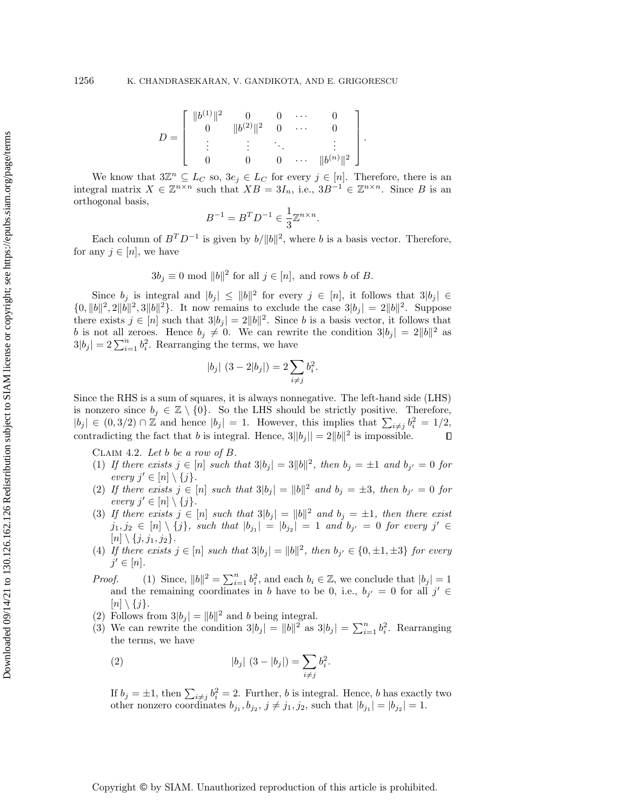$$
D = \left[ \begin{array}{ccccc} \|b^{(1)}\|^2 & 0 & 0 & \cdots & 0 \\ 0 & \|b^{(2)}\|^2 & 0 & \cdots & 0 \\ \vdots & \vdots & \ddots & \vdots & \vdots \\ 0 & 0 & 0 & \cdots & \|b^{(n)}\|^2 \end{array} \right]
$$

.

We know that  $3\mathbb{Z}^n \subseteq L_C$  so,  $3e_j \in L_C$  for every  $j \in [n]$ . Therefore, there is an integral matrix  $X \in \mathbb{Z}^{n \times n}$  such that  $XB = 3I_n$ , i.e.,  $3B^{-1} \in \mathbb{Z}^{n \times n}$ . Since B is an orthogonal basis,

$$
B^{-1}=B^TD^{-1}\in \frac{1}{3}\mathbb{Z}^{n\times n}
$$

.

Each column of  $B^T D^{-1}$  is given by  $b/||b||^2$ , where b is a basis vector. Therefore, for any  $j \in [n]$ , we have

$$
3b_j \equiv 0 \mod ||b||^2
$$
 for all  $j \in [n]$ , and rows b of B.

Since  $b_j$  is integral and  $|b_j| \leq ||b||^2$  for every  $j \in [n]$ , it follows that  $3|b_j| \in$  $\{0, \|b\|^2, 2\|b\|^2, 3\|b\|^2\}$ . It now remains to exclude the case  $3|b_j| = 2\|b\|^2$ . Suppose there exists  $j \in [n]$  such that  $3|b_j| = 2||b||^2$ . Since b is a basis vector, it follows that b is not all zeroes. Hence  $b_j \neq 0$ . We can rewrite the condition  $3|b_j| = 2||b||^2$  as  $3|b_j| = 2\sum_{i=1}^n b_i^2$ . Rearranging the terms, we have

$$
|b_j| (3 - 2|b_j|) = 2 \sum_{i \neq j} b_i^2.
$$

Since the RHS is a sum of squares, it is always nonnegative. The left-hand side (LHS) is nonzero since  $b_i \in \mathbb{Z} \setminus \{0\}$ . So the LHS should be strictly positive. Therefore,  $|b_j| \in (0, 3/2) \cap \mathbb{Z}$  and hence  $|b_j| = 1$ . However, this implies that  $\sum_{i \neq j} b_i^2 = 1/2$ , contradicting the fact that b is integral. Hence,  $3||b_j|| = 2||b||^2$  is impossible.  $\Box$ 

<span id="page-12-1"></span>CLAIM 4.2. Let b be a row of  $B$ .

- (1) If there exists  $j \in [n]$  such that  $3|b_j| = 3||b||^2$ , then  $b_j = \pm 1$  and  $b_{j'} = 0$  for every  $j' \in [n] \setminus \{j\}.$
- (2) If there exists  $j \in [n]$  such that  $3|b_j| = ||b||^2$  and  $b_j = \pm 3$ , then  $b_{j'} = 0$  for every  $j' \in [n] \setminus \{j\}.$
- (3) If there exists  $j \in [n]$  such that  $3|b_j| = ||b||^2$  and  $b_j = \pm 1$ , then there exist  $j_1, j_2 \in [n] \setminus \{j\}$ , such that  $|b_{j_1}| = |b_{j_2}| = 1$  and  $b_{j'} = 0$  for every  $j' \in$  $[n] \setminus \{j, j_1, j_2\}.$
- (4) If there exists  $j \in [n]$  such that  $3|b_j| = ||b||^2$ , then  $b_{j'} \in \{0, \pm 1, \pm 3\}$  for every  $j' \in [n]$ .

*Proof.* (1) Since,  $||b||^2 = \sum_{i=1}^n b_i^2$ , and each  $b_i \in \mathbb{Z}$ , we conclude that  $|b_j| = 1$ and the remaining coordinates in b have to be 0, i.e.,  $b_{j'} = 0$  for all  $j' \in$  $[n] \setminus \{j\}.$ 

- (2) Follows from  $3|b_j| = ||b||^2$  and b being integral.
- (3) We can rewrite the condition  $3|b_j| = ||b||^2$  as  $3|b_j| = \sum_{i=1}^n b_i^2$ . Rearranging the terms, we have

<span id="page-12-0"></span>(2) 
$$
|b_j| (3 - |b_j|) = \sum_{i \neq j} b_i^2.
$$

If  $b_j = \pm 1$ , then  $\sum_{i \neq j} b_i^2 = 2$ . Further, b is integral. Hence, b has exactly two other nonzero coordinates  $b_{j_1}, b_{j_2}, j \neq j_1, j_2$ , such that  $|b_{j_1}| = |b_{j_2}| = 1$ .

Copyright © by SIAM. Unauthorized reproduction of this article is prohibited.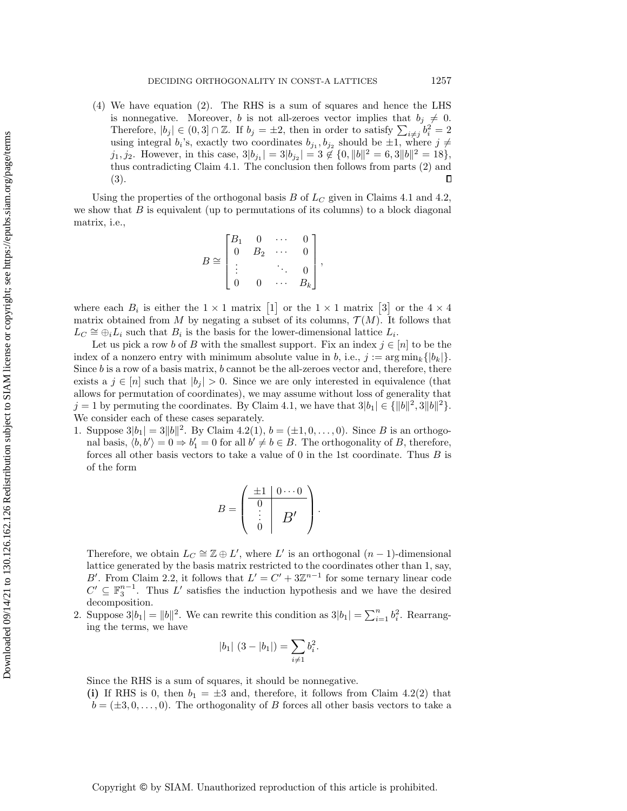(4) We have equation [\(2\)](#page-12-0). The RHS is a sum of squares and hence the LHS is nonnegative. Moreover, b is not all-zeroes vector implies that  $b_j \neq 0$ . Therefore,  $|b_j| \in (0,3] \cap \mathbb{Z}$ . If  $b_j = \pm 2$ , then in order to satisfy  $\sum_{i \neq j} b_i^2 = 2$ using integral  $b_i$ 's, exactly two coordinates  $b_{j_1}, b_{j_2}$  should be  $\pm 1$ , where  $j \neq$ j<sub>1</sub>, j<sub>2</sub>. However, in this case,  $3|b_{j_1}| = 3|b_{j_2}| = 3 \notin \{0, ||b||^2 = 6, 3||b||^2 = 18\},\$ thus contradicting Claim [4.1.](#page-11-2) The conclusion then follows from parts (2) and (3).  $\Box$ 

Using the properties of the orthogonal basis B of  $L_C$  given in Claims [4.1](#page-11-2) and [4.2,](#page-12-1) we show that  $B$  is equivalent (up to permutations of its columns) to a block diagonal matrix, i.e.,

$$
B \cong \begin{bmatrix} B_1 & 0 & \cdots & 0 \\ 0 & B_2 & \cdots & 0 \\ \vdots & & \ddots & 0 \\ 0 & 0 & \cdots & B_k \end{bmatrix}
$$

,

where each  $B_i$  is either the  $1 \times 1$  matrix  $\begin{bmatrix} 1 \end{bmatrix}$  or the  $1 \times 1$  matrix  $\begin{bmatrix} 3 \end{bmatrix}$  or the  $4 \times 4$ matrix obtained from M by negating a subset of its columns,  $\mathcal{T}(M)$ . It follows that  $L_C \cong \bigoplus_i L_i$  such that  $B_i$  is the basis for the lower-dimensional lattice  $L_i$ .

Let us pick a row b of B with the smallest support. Fix an index  $j \in [n]$  to be the index of a nonzero entry with minimum absolute value in b, i.e.,  $j := \arg \min_k \{|b_k|\}$ . Since  $b$  is a row of a basis matrix,  $b$  cannot be the all-zeroes vector and, therefore, there exists a  $j \in [n]$  such that  $|b_j| > 0$ . Since we are only interested in equivalence (that allows for permutation of coordinates), we may assume without loss of generality that  $j = 1$  by permuting the coordinates. By Claim [4.1,](#page-11-2) we have that  $3|b_1| \in {\{||b||^2, 3||b||^2\}}.$ We consider each of these cases separately.

1. Suppose  $3|b_1| = 3||b||^2$ . By Claim [4.2\(](#page-12-1)1),  $b = (\pm 1, 0, \dots, 0)$ . Since B is an orthogonal basis,  $\langle b, b' \rangle = 0 \Rightarrow b'_1 = 0$  for all  $b' \neq b \in B$ . The orthogonality of B, therefore, forces all other basis vectors to take a value of  $0$  in the 1st coordinate. Thus  $B$  is of the form

$$
B = \begin{pmatrix} \frac{\pm 1 & 0 \cdots 0}{0} \\ \vdots & B' \\ 0 & \end{pmatrix}.
$$

Therefore, we obtain  $L_C \cong \mathbb{Z} \oplus L'$ , where  $L'$  is an orthogonal  $(n-1)$ -dimensional lattice generated by the basis matrix restricted to the coordinates other than 1, say, B'. From Claim [2.2,](#page-3-2) it follows that  $L' = C' + 3\mathbb{Z}^{n-1}$  for some ternary linear code  $C' \subseteq \mathbb{F}_3^{n-1}$ . Thus L' satisfies the induction hypothesis and we have the desired decomposition.

2. Suppose  $3|b_1| = ||b||^2$ . We can rewrite this condition as  $3|b_1| = \sum_{i=1}^n b_i^2$ . Rearranging the terms, we have

$$
|b_1| (3 - |b_1|) = \sum_{i \neq 1} b_i^2.
$$

Since the RHS is a sum of squares, it should be nonnegative.

(i) If RHS is 0, then  $b_1 = \pm 3$  and, therefore, it follows from Claim [4.2\(](#page-12-1)2) that  $b = (\pm 3, 0, \ldots, 0)$ . The orthogonality of B forces all other basis vectors to take a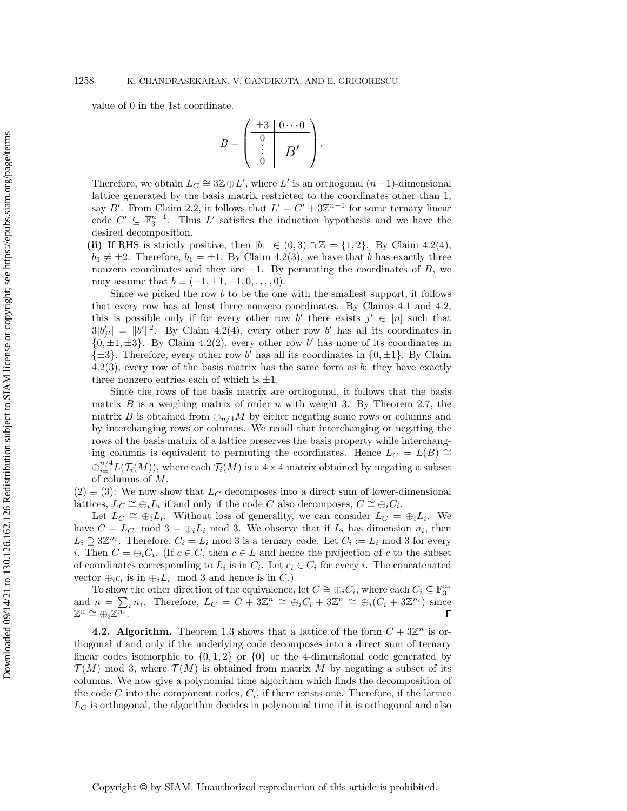value of 0 in the 1st coordinate.

$$
B = \begin{pmatrix} \pm 3 & 0 & \cdots & 0 \\ 0 & & \\ \vdots & & B' \\ 0 & & \end{pmatrix}.
$$

Therefore, we obtain  $L_C \cong 3\mathbb{Z} \oplus L'$ , where L' is an orthogonal  $(n-1)$ -dimensional lattice generated by the basis matrix restricted to the coordinates other than 1, say B'. From Claim [2.2,](#page-3-2) it follows that  $L' = C' + 3\mathbb{Z}^{n-1}$  for some ternary linear code  $C' \subseteq \mathbb{F}_3^{n-1}$ . Thus L' satisfies the induction hypothesis and we have the desired decomposition.

(ii) If RHS is strictly positive, then  $|b_1| \in (0,3) \cap \mathbb{Z} = \{1,2\}$ . By Claim [4.2\(](#page-12-1)4),  $b_1 \neq \pm 2$ . Therefore,  $b_1 = \pm 1$ . By Claim [4.2\(](#page-12-1)3), we have that b has exactly three nonzero coordinates and they are  $\pm 1$ . By permuting the coordinates of B, we may assume that  $b \equiv (\pm 1, \pm 1, \pm 1, 0, \ldots, 0).$ 

Since we picked the row b to be the one with the smallest support, it follows that every row has at least three nonzero coordinates. By Claims [4.1](#page-11-2) and [4.2,](#page-12-1) this is possible only if for every other row b' there exists  $j' \in [n]$  such that  $3|b'_{j'}| = ||b'||^2$ . By Claim [4.2\(](#page-12-1)4), every other row b' has all its coordinates in  ${0, \pm 1, \pm 3}$ . By Claim [4.2\(](#page-12-1)2), every other row b' has none of its coordinates in  $\{\pm 3\}$ . Therefore, every other row b' has all its coordinates in  $\{0, \pm 1\}$ . By Claim  $4.2(3)$  $4.2(3)$ , every row of the basis matrix has the same form as b: they have exactly three nonzero entries each of which is  $\pm 1$ .

Since the rows of the basis matrix are orthogonal, it follows that the basis matrix  $B$  is a weighing matrix of order  $n$  with weight 3. By Theorem [2.7,](#page-5-0) the matrix B is obtained from  $\bigoplus_{n/4} M$  by either negating some rows or columns and by interchanging rows or columns. We recall that interchanging or negating the rows of the basis matrix of a lattice preserves the basis property while interchanging columns is equivalent to permuting the coordinates. Hence  $L_C = L(B) \cong$  $\bigoplus_{i=1}^{n/4} L(\mathcal{T}_i(M))$ , where each  $\mathcal{T}_i(M)$  is a  $4 \times 4$  matrix obtained by negating a subset of columns of M.

 $(2) \equiv (3)$ : We now show that  $L_C$  decomposes into a direct sum of lower-dimensional lattices,  $L_C \cong \bigoplus_i L_i$  if and only if the code C also decomposes,  $C \cong \bigoplus_i C_i$ .

Let  $L_C \cong \bigoplus_i L_i$ . Without loss of generality, we can consider  $L_C = \bigoplus_i L_i$ . We have  $C = L_C \mod 3 = \bigoplus_i L_i \mod 3$ . We observe that if  $L_i$  has dimension  $n_i$ , then  $L_i \supseteq 3\mathbb{Z}^{n_i}$ . Therefore,  $C_i = L_i$  mod 3 is a ternary code. Let  $C_i := L_i$  mod 3 for every *i*. Then  $C = \bigoplus_i C_i$ . (If  $c \in C$ , then  $c \in L$  and hence the projection of c to the subset of coordinates corresponding to  $L_i$  is in  $C_i$ . Let  $c_i \in C_i$  for every i. The concatenated vector  $\bigoplus_i c_i$  is in  $\bigoplus_i L_i$  mod 3 and hence is in C.)

To show the other direction of the equivalence, let  $C \cong \bigoplus_i C_i$ , where each  $C_i \subseteq \mathbb{F}_3^{n_i}$ Fo show the other direction of the equivalence, let  $C = \bigoplus_i C_i$ , where each  $C_i \subseteq \mathbb{F}_3$ <br>and  $n = \sum_i n_i$ . Therefore,  $L_C = C + 3\mathbb{Z}^n \cong \bigoplus_i C_i + 3\mathbb{Z}^n \cong \bigoplus_i (C_i + 3\mathbb{Z}^{n_i})$  since  $\mathbb{Z}^n \cong \bigoplus_i \mathbb{Z}^{\overline{n_i}}.$ 

<span id="page-14-0"></span>**4.2. Algorithm.** Theorem [1.3](#page-2-1) shows that a lattice of the form  $C + 3\mathbb{Z}^n$  is orthogonal if and only if the underlying code decomposes into a direct sum of ternary linear codes isomorphic to  $\{0, 1, 2\}$  or  $\{0\}$  or the 4-dimensional code generated by  $\mathcal{T}(M)$  mod 3, where  $\mathcal{T}(M)$  is obtained from matrix M by negating a subset of its columns. We now give a polynomial time algorithm which finds the decomposition of the code  $C$  into the component codes,  $C_i$ , if there exists one. Therefore, if the lattice  $L_C$  is orthogonal, the algorithm decides in polynomial time if it is orthogonal and also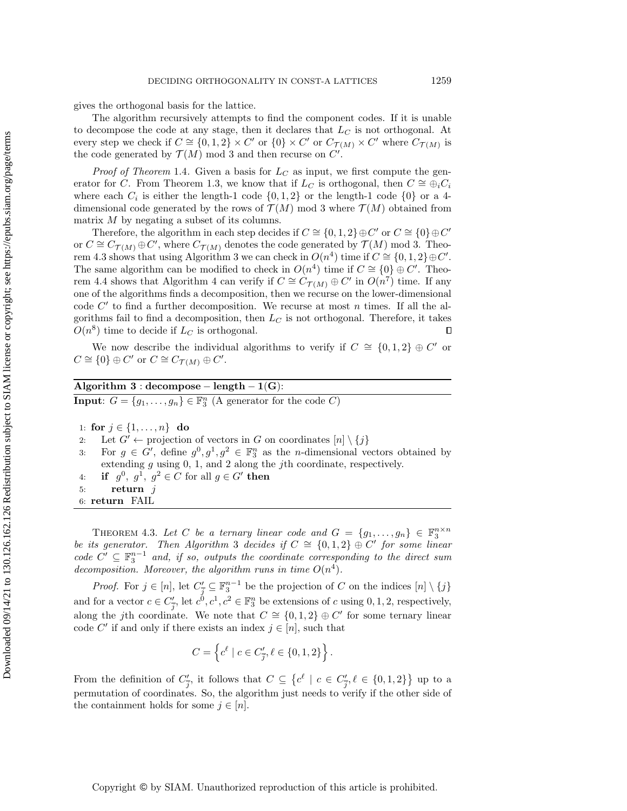gives the orthogonal basis for the lattice.

The algorithm recursively attempts to find the component codes. If it is unable to decompose the code at any stage, then it declares that  $L_C$  is not orthogonal. At every step we check if  $C \cong \{0, 1, 2\} \times C'$  or  $\{0\} \times C'$  or  $C_{\mathcal{T}(M)} \times C'$  where  $C_{\mathcal{T}(M)}$  is the code generated by  $\mathcal{T}(M)$  mod 3 and then recurse on  $C'$ .

*Proof of Theorem* [1.4](#page-2-2). Given a basis for  $L<sub>C</sub>$  as input, we first compute the gen-erator for C. From Theorem [1.3,](#page-2-1) we know that if  $L_C$  is orthogonal, then  $C \cong \bigoplus_i C_i$ where each  $C_i$  is either the length-1 code  $\{0,1,2\}$  or the length-1 code  $\{0\}$  or a 4dimensional code generated by the rows of  $\mathcal{T}(M)$  mod 3 where  $\mathcal{T}(M)$  obtained from matrix M by negating a subset of its columns.

Therefore, the algorithm in each step decides if  $C \cong \{0, 1, 2\} \oplus C'$  or  $C \cong \{0\} \oplus C'$ or  $C \cong C_{\mathcal{T}(M)} \oplus C'$ , where  $C_{\mathcal{T}(M)}$  denotes the code generated by  $\mathcal{T}(M)$  mod 3. Theo-rem [4.3](#page-15-0) shows that using Algorithm [3](#page-15-1) we can check in  $O(n^4)$  time if  $C \cong \{0,1,2\} \oplus C'$ . The same algorithm can be modified to check in  $O(n^4)$  time if  $C \cong \{0\} \oplus C'$ . Theo-rem [4.4](#page-16-0) shows that Algorithm [4](#page-16-1) can verify if  $C \cong C_{\mathcal{T}(M)} \oplus C'$  in  $O(n^7)$  time. If any one of the algorithms finds a decomposition, then we recurse on the lower-dimensional code  $C'$  to find a further decomposition. We recurse at most n times. If all the algorithms fail to find a decomposition, then  $L_C$  is not orthogonal. Therefore, it takes  $O(n^8)$  time to decide if  $L_C$  is orthogonal.  $\Box$ 

We now describe the individual algorithms to verify if  $C \cong \{0,1,2\} \oplus C'$  or  $C \cong \{0\} \oplus C'$  or  $C \cong C_{\mathcal{T}(M)} \oplus C'.$ 

## Algorithm  $3 : decompose - length - 1(G):$

<span id="page-15-1"></span>**Input:**  $G = \{g_1, \ldots, g_n\} \in \mathbb{F}_3^n$  (A generator for the code C)

- 1: for  $j \in \{1, ..., n\}$  do
- 2: Let  $G' \leftarrow$  projection of vectors in G on coordinates  $[n] \setminus \{j\}$
- 3: For  $g \in G'$ , define  $g^0, g^1, g^2 \in \mathbb{F}_3^n$  as the *n*-dimensional vectors obtained by extending  $g$  using  $0, 1$ , and  $2$  along the *j*th coordinate, respectively.
- 4: if  $g^0$ ,  $g^1$ ,  $g^2 \in C$  for all  $g \in G'$  then
- 5: return  $j$
- 6: return FAIL

<span id="page-15-0"></span>THEOREM 4.3. Let C be a ternary linear code and  $G = \{g_1, \ldots, g_n\} \in \mathbb{F}_3^{n \times n}$ be its generator. Then Algorithm [3](#page-15-1) decides if  $C \cong \{0,1,2\} \oplus C'$  for some linear code  $C' \subseteq \mathbb{F}_3^{n-1}$  and, if so, outputs the coordinate corresponding to the direct sum decomposition. Moreover, the algorithm runs in time  $O(n^4)$ .

*Proof.* For  $j \in [n]$ , let  $C'_{\overline{j}} \subseteq \mathbb{F}_3^{n-1}$  be the projection of C on the indices  $[n] \setminus \{j\}$ and for a vector  $c \in C'_{\overline{j}}$ , let  $c^0, c^1, c^2 \in \mathbb{F}_3^n$  be extensions of c using  $0, 1, 2$ , respectively, along the jth coordinate. We note that  $C \cong \{0,1,2\} \oplus C'$  for some ternary linear code C' if and only if there exists an index  $j \in [n]$ , such that

$$
C = \left\{ c^{\ell} \mid c \in C'_{\overline{j}}, \ell \in \{0, 1, 2\} \right\}.
$$

From the definition of  $C'_{\overline{j}}$ , it follows that  $C \subseteq \{c^{\ell} \mid c \in C'_{\overline{j}}, \ell \in \{0,1,2\}\}\$ up to a permutation of coordinates. So, the algorithm just needs to verify if the other side of the containment holds for some  $j \in [n]$ .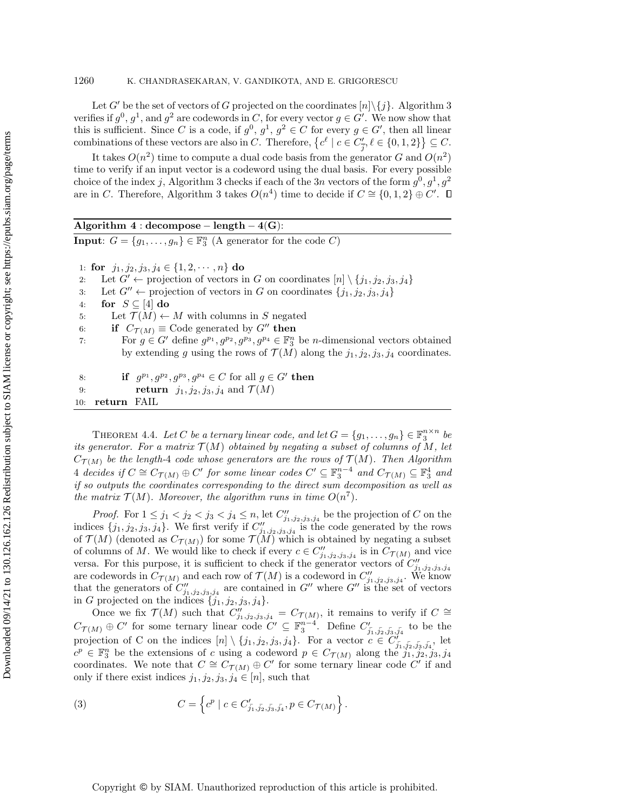Let G' be the set of vectors of G projected on the coordinates  $[n]\setminus\{j\}$ . Algorithm [3](#page-15-1) verifies if  $g^0$ ,  $g^1$ , and  $g^2$  are codewords in C, for every vector  $g \in G'$ . We now show that this is sufficient. Since C is a code, if  $g^0, g^1, g^2 \in C$  for every  $g \in G'$ , then all linear combinations of these vectors are also in C. Therefore,  $\{c^{\ell} \mid c \in C'_{\overline{j}}, \ell \in \{0,1,2\}\}\subseteq C$ .

It takes  $O(n^2)$  time to compute a dual code basis from the generator G and  $O(n^2)$ time to verify if an input vector is a codeword using the dual basis. For every possible choice of the index j, Algorithm [3](#page-15-1) checks if each of the 3n vectors of the form  $g^0, g^1, g^2$ are in C. Therefore, Algorithm [3](#page-15-1) takes  $O(n^4)$  time to decide if  $C \cong \{0, 1, 2\} \oplus C'$ .

## Algorithm  $4 : decompose - length - 4(G):$

<span id="page-16-1"></span>**Input:**  $G = \{g_1, \ldots, g_n\} \in \mathbb{F}_3^n$  (A generator for the code C)

- 1: for  $j_1, j_2, j_3, j_4 \in \{1, 2, \dots, n\}$  do
- 2: Let  $G' \leftarrow$  projection of vectors in G on coordinates  $[n] \setminus \{j_1, j_2, j_3, j_4\}$
- 3: Let  $G'' \leftarrow$  projection of vectors in G on coordinates  $\{j_1, j_2, j_3, j_4\}$
- 4: for  $S \subseteq [4]$  do
- 5: Let  $\mathcal{T}(M) \leftarrow M$  with columns in S negated
- 6: if  $C_{\mathcal{T}(M)} \equiv \text{Code generated by } G''$  then
- 7: For  $g \in G'$  define  $g^{p_1}, g^{p_2}, g^{p_3}, g^{p_4} \in \mathbb{F}_3^n$  be *n*-dimensional vectors obtained by extending g using the rows of  $\mathcal{T}(M)$  along the  $j_1, j_2, j_3, j_4$  coordinates.
- 8: if  $g^{p_1}, g^{p_2}, g^{p_3}, g^{p_4} \in C$  for all  $g \in G'$  then 9: return  $j_1, j_2, j_3, j_4$  and  $\mathcal{T}(M)$ 10: return FAIL

<span id="page-16-0"></span>THEOREM 4.4. Let C be a ternary linear code, and let  $G = \{g_1, \ldots, g_n\} \in \mathbb{F}_3^{n \times n}$  be its generator. For a matrix  $\mathcal{T}(M)$  obtained by negating a subset of columns of M, let  $C_{\mathcal{T}(M)}$  be the length-4 code whose generators are the rows of  $\mathcal{T}(M)$ . Then Algorithm [4](#page-16-1) decides if  $C \cong C_{\mathcal{T}(M)} \oplus C'$  for some linear codes  $C' \subseteq \mathbb{F}_3^{n-4}$  and  $C_{\mathcal{T}(M)} \subseteq \mathbb{F}_3^4$  and if so outputs the coordinates corresponding to the direct sum decomposition as well as the matrix  $\mathcal{T}(M)$ . Moreover, the algorithm runs in time  $O(n^7)$ .

*Proof.* For  $1 \leq j_1 < j_2 < j_3 < j_4 \leq n$ , let  $C''_{j_1,j_2,j_3,j_4}$  be the projection of C on the indices  $\{j_1, j_2, j_3, j_4\}$ . We first verify if  $C''_{j_1, j_2, j_3, j_4}$  is the code generated by the rows of  $\mathcal{T}(M)$  (denoted as  $C_{\mathcal{T}(M)}$ ) for some  $\mathcal{T}(M)$  which is obtained by negating a subset of columns of M. We would like to check if every  $c \in C''_{j_1,j_2,j_3,j_4}$  is in  $C_{\mathcal{T}(M)}$  and vice versa. For this purpose, it is sufficient to check if the generator vectors of  $C''_{j_1,j_2,j_3,j_4}$  are codewords in  $C_{\mathcal{T}(M)}$  and each row of  $\mathcal{T}(M)$  is a codeword in  $C''_{j_1,j_2,j_3,j_4}$ . We know that the generators of  $C''_{j_1,j_2,j_3,j_4}$  are contained in  $G''$  where  $G''$  is the set of vectors in G projected on the indices  $\{j_1, j_2, j_3, j_4\}.$ 

Once we fix  $\mathcal{T}(M)$  such that  $C''_{j_1,j_2,j_3,j_4} = C_{\mathcal{T}(M)}$ , it remains to verify if  $C \cong$  $C_{\mathcal{T}(M)} \oplus C'$  for some ternary linear code  $C' \subseteq \mathbb{F}_3^{n-4}$ . Define  $C'_{\overline{j_1}, \overline{j_2}, \overline{j_3}, \overline{j_4}}$  to be the projection of C on the indices  $[n] \setminus \{j_1, j_2, j_3, j_4\}$ . For a vector  $c \in C'_{\overline{j_1}, \overline{j_2}, \overline{j_3}, \overline{j_4}}$ , let  $c^p \in \mathbb{F}_3^n$  be the extensions of c using a codeword  $p \in C_{\mathcal{T}(M)}$  along the  $j_1, j_2, j_3, j_4$ coordinates. We note that  $C \cong C_{\mathcal{T}(M)} \oplus C'$  for some ternary linear code C' if and only if there exist indices  $j_1, j_2, j_3, j_4 \in [n]$ , such that

(3) 
$$
C = \left\{ c^p \mid c \in C'_{\bar{j_1}, \bar{j_2}, \bar{j_3}, \bar{j_4}}, p \in C_{\mathcal{T}(M)} \right\}.
$$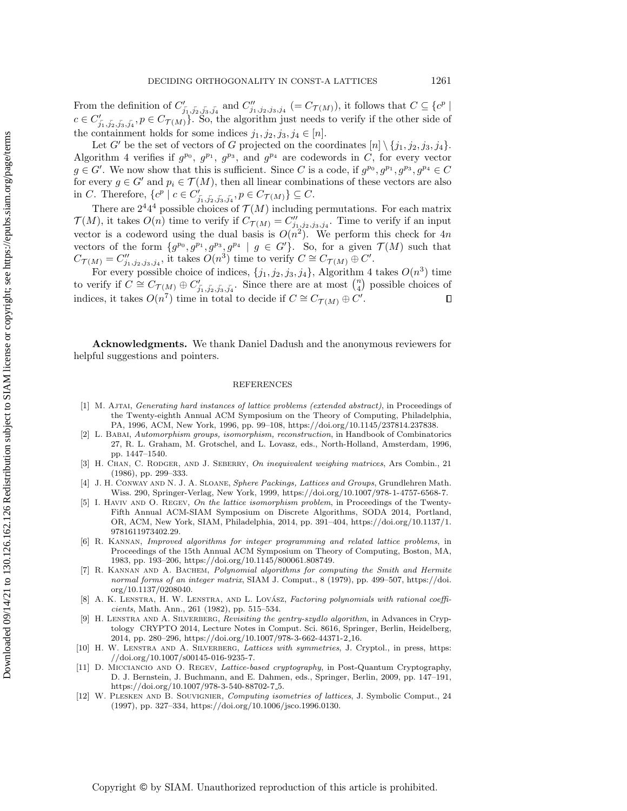From the definition of  $C'_{\overline{j_1},\overline{j_2},\overline{j_3},\overline{j_4}}$  and  $C''_{j_1,j_2,j_3,j_4}$   $(= C_{\mathcal{T}(M)})$ , it follows that  $C \subseteq \{c^p \mid$  $c \in C'_{\overline{j_1},\overline{j_2},\overline{j_3},\overline{j_4}}, p \in C_{\mathcal{T}(M)}$ . So, the algorithm just needs to verify if the other side of the containment holds for some indices  $j_1, j_2, j_3, j_4 \in [n]$ .

Let G' be the set of vectors of G projected on the coordinates  $[n] \setminus \{j_1, j_2, j_3, j_4\}.$ Algorithm [4](#page-16-1) verifies if  $g^{p_0}$ ,  $g^{p_1}$ ,  $g^{p_3}$ , and  $g^{p_4}$  are codewords in C, for every vector  $g \in G'$ . We now show that this is sufficient. Since C is a code, if  $g^{p_0}, g^{p_1}, g^{p_3}, g^{p_4} \in C$ for every  $g \in G'$  and  $p_i \in \mathcal{T}(M)$ , then all linear combinations of these vectors are also in C. Therefore,  $\{c^p \mid c \in C'_{\bar{j_1}, \bar{j_2}, \bar{j_3}, \bar{j_4}}, p \in C_{\mathcal{T}(M)}\} \subseteq C$ .

There are  $2^44^4$  possible choices of  $\mathcal{T}(M)$  including permutations. For each matrix  $\mathcal{T}(M)$ , it takes  $O(n)$  time to verify if  $C_{\mathcal{T}(M)} = C''_{j_1,j_2,j_3,j_4}$ . Time to verify if an input vector is a codeword using the dual basis is  $O(n^2)$ . We perform this check for 4n vectors of the form  $\{g^{p_0}, g^{p_1}, g^{p_3}, g^{p_4} \mid g \in G'\}$ . So, for a given  $\mathcal{T}(M)$  such that  $C_{\mathcal{T}(M)} = C''_{j_1, j_2, j_3, j_4}$ , it takes  $\widetilde{O}(n^3)$  time to verify  $C \cong C_{\mathcal{T}(M)} \oplus C'.$ 

For every possible choice of indices,  $\{j_1, j_2, j_3, j_4\}$ , Algorithm [4](#page-16-1) takes  $O(n^3)$  time to verify if  $C \cong C_{\mathcal{T}(M)} \oplus C'_{\overline{j_1}, \overline{j_2}, \overline{j_3}, \overline{j_4}}$ . Since there are at most  $\binom{n}{4}$  possible choices of indices, it takes  $O(n^7)$  time in total to decide if  $C \cong C_{\mathcal{T}(M)} \oplus C'$ .  $\Box$ 

Acknowledgments. We thank Daniel Dadush and the anonymous reviewers for helpful suggestions and pointers.

## REFERENCES

- <span id="page-17-2"></span>[1] M. Ajtai, Generating hard instances of lattice problems (extended abstract), in Proceedings of the Twenty-eighth Annual ACM Symposium on the Theory of Computing, Philadelphia, PA, 1996, ACM, New York, 1996, pp. 99–108, [https://doi.org/10.1145/237814.237838.](https://doi.org/10.1145/237814.237838)
- <span id="page-17-8"></span>[2] L. Babai, Automorphism groups, isomorphism, reconstruction, in Handbook of Combinatorics 27, R. L. Graham, M. Grotschel, and L. Lovasz, eds., North-Holland, Amsterdam, 1996, pp. 1447–1540.
- <span id="page-17-10"></span>[3] H. CHAN, C. RODGER, AND J. SEBERRY, On inequivalent weighing matrices, Ars Combin., 21 (1986), pp. 299–333.
- <span id="page-17-9"></span>[4] J. H. Conway and N. J. A. Sloane, Sphere Packings, Lattices and Groups, Grundlehren Math. Wiss. 290, Springer-Verlag, New York, 1999, [https://doi.org/10.1007/978-1-4757-6568-7.](https://doi.org/10.1007/978-1-4757-6568-7)
- <span id="page-17-4"></span>[5] I. HAVIV AND O. REGEV, On the lattice isomorphism problem, in Proceedings of the Twenty-Fifth Annual ACM-SIAM Symposium on Discrete Algorithms, SODA 2014, Portland, OR, ACM, New York, SIAM, Philadelphia, 2014, pp. 391–404, [https://doi.org/10.1137/1.](https://doi.org/10.1137/1.9781611973402.29) [9781611973402.29.](https://doi.org/10.1137/1.9781611973402.29)
- <span id="page-17-0"></span>[6] R. Kannan, Improved algorithms for integer programming and related lattice problems, in Proceedings of the 15th Annual ACM Symposium on Theory of Computing, Boston, MA, 1983, pp. 193–206, [https://doi.org/10.1145/800061.808749.](https://doi.org/10.1145/800061.808749)
- <span id="page-17-11"></span>[7] R. Kannan and A. Bachem, Polynomial algorithms for computing the Smith and Hermite normal forms of an integer matrix, SIAM J. Comput., 8 (1979), pp. 499–507, [https://doi.](https://doi.org/10.1137/0208040) [org/10.1137/0208040.](https://doi.org/10.1137/0208040)
- <span id="page-17-1"></span>[8] A. K. LENSTRA, H. W. LENSTRA, AND L. LOVÁSZ, Factoring polynomials with rational coefficients, Math. Ann., 261 (1982), pp. 515–534.
- <span id="page-17-6"></span>[9] H. LENSTRA AND A. SILVERBERG, Revisiting the gentry-szydlo algorithm, in Advances in Cryptology CRYPTO 2014, Lecture Notes in Comput. Sci. 8616, Springer, Berlin, Heidelberg, 2014, pp. 280–296, [https://doi.org/10.1007/978-3-662-44371-2](https://doi.org/10.1007/978-3-662-44371-2_16) 16.
- <span id="page-17-7"></span>[10] H. W. LENSTRA AND A. SILVERBERG, Lattices with symmetries, J. Cryptol., in press, [https:](https://doi.org/10.1007/s00145-016-9235-7) [//doi.org/10.1007/s00145-016-9235-7.](https://doi.org/10.1007/s00145-016-9235-7)
- <span id="page-17-3"></span>[11] D. MICCIANCIO AND O. REGEV, *Lattice-based cryptography*, in Post-Quantum Cryptography, D. J. Bernstein, J. Buchmann, and E. Dahmen, eds., Springer, Berlin, 2009, pp. 147–191, [https://doi.org/10.1007/978-3-540-88702-7](https://doi.org/10.1007/978-3-540-88702-7_5) 5.
- <span id="page-17-5"></span>[12] W. PLESKEN AND B. SOUVIGNIER, Computing isometries of lattices, J. Symbolic Comput., 24 (1997), pp. 327–334, [https://doi.org/10.1006/jsco.1996.0130.](https://doi.org/10.1006/jsco.1996.0130)